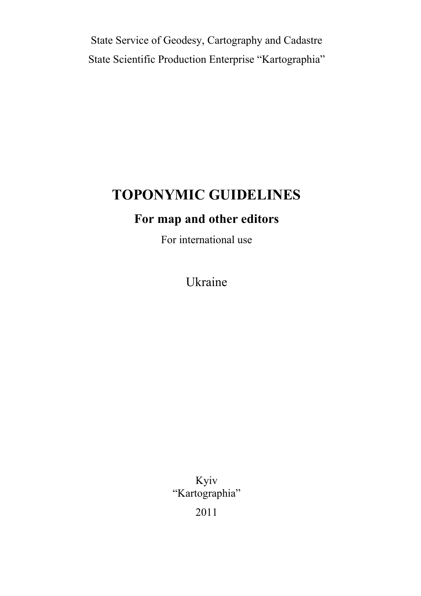State Service of Geodesy, Cartography and Cadastre State Scientific Production Enterprise "Kartographia"

# **TOPONYMIC GUIDELINES**

# **For map and other editors**

For international use

Ukraine

Kyiv "Kartographia"

2011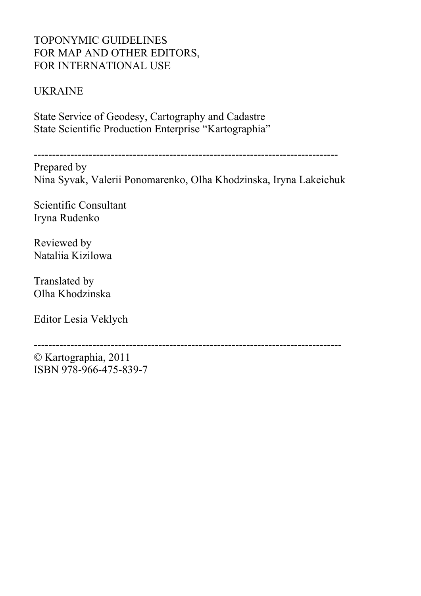## TOPONYMIC GUIDELINES FOR MAP AND OTHER EDITORS, FOR INTERNATIONAL USE

## UKRAINE

State Service of Geodesy, Cartography and Cadastre State Scientific Production Enterprise "Kartographia"

-----------------------------------------------------------------------------------

Prepared by Nina Syvak, Valerii Ponomarenko, Olha Khodzinska, Iryna Lakeichuk

Scientific Consultant Iryna Rudenko

Reviewed by Nataliia Kizilowa

Translated by Olha Khodzinska

Editor Lesia Veklych

------------------------------------------------------------------------------------

© Kartographia, 2011 ISBN 978-966-475-839-7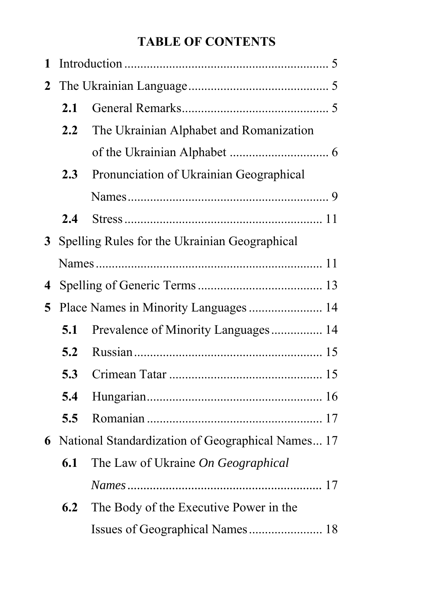# **TABLE OF CONTENTS**

| 1              |         |                                                   |
|----------------|---------|---------------------------------------------------|
| $\overline{2}$ |         |                                                   |
|                | 2.1     |                                                   |
|                | $2.2\,$ | The Ukrainian Alphabet and Romanization           |
|                |         |                                                   |
|                | 2.3     | Pronunciation of Ukrainian Geographical           |
|                |         |                                                   |
|                | 2.4     |                                                   |
| 3 <sup>1</sup> |         | Spelling Rules for the Ukrainian Geographical     |
|                |         |                                                   |
| 4              |         |                                                   |
| 5              |         | Place Names in Minority Languages  14             |
|                | 5.1     | Prevalence of Minority Languages 14               |
|                | 5.2     |                                                   |
|                | 5.3     |                                                   |
|                | 5.4     |                                                   |
|                | 5.5     |                                                   |
| 6              |         | National Standardization of Geographical Names 17 |
|                | 6.1     | The Law of Ukraine On Geographical                |
|                |         |                                                   |
|                | 6.2     | The Body of the Executive Power in the            |
|                |         | Issues of Geographical Names 18                   |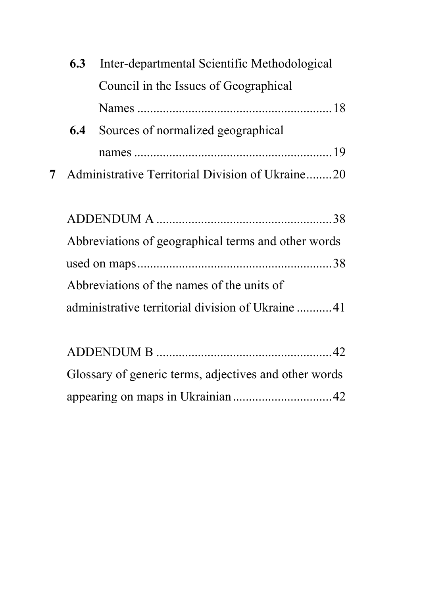| 6.3 | Inter-departmental Scientific Methodological     |
|-----|--------------------------------------------------|
|     | Council in the Issues of Geographical            |
|     |                                                  |
| 6.4 | Sources of normalized geographical               |
|     |                                                  |
| 7   | Administrative Territorial Division of Ukraine20 |
|     |                                                  |
|     |                                                  |

| Abbreviations of geographical terms and other words |  |
|-----------------------------------------------------|--|
|                                                     |  |
| Abbreviations of the names of the units of          |  |
| administrative territorial division of Ukraine 41   |  |

| Glossary of generic terms, adjectives and other words |  |
|-------------------------------------------------------|--|
|                                                       |  |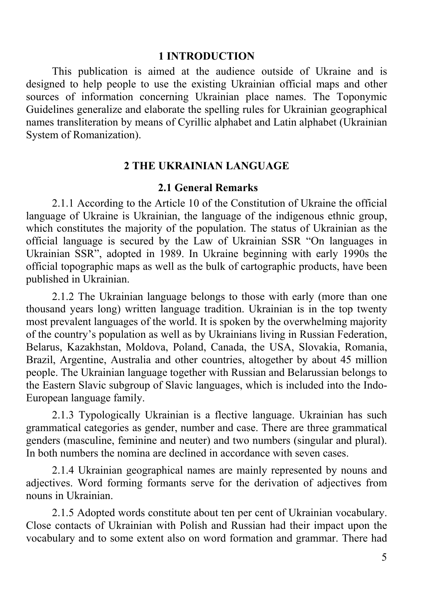#### **1 INTRODUCTION**

This publication is aimed at the audience outside of Ukraine and is designed to help people to use the existing Ukrainian official maps and other sources of information concerning Ukrainian place names. The Toponymic Guidelines generalize and elaborate the spelling rules for Ukrainian geographical names transliteration by means of Cyrillic alphabet and Latin alphabet (Ukrainian System of Romanization).

#### **2 THE UKRAINIAN LANGUAGE**

#### **2.1 General Remarks**

2.1.1 According to the Article 10 of the Constitution of Ukraine the official language of Ukraine is Ukrainian, the language of the indigenous ethnic group, which constitutes the majority of the population. The status of Ukrainian as the official language is secured by the Law of Ukrainian SSR "On languages in Ukrainian SSR", adopted in 1989. In Ukraine beginning with early 1990s the official topographic maps as well as the bulk of cartographic products, have been published in Ukrainian.

2.1.2 The Ukrainian language belongs to those with early (more than one thousand years long) written language tradition. Ukrainian is in the top twenty most prevalent languages of the world. It is spoken by the overwhelming majority of the country's population as well as by Ukrainians living in Russian Federation, Belarus, Kazakhstan, Moldova, Poland, Canada, the USA, Slovakia, Romania, Brazil, Argentine, Australia and other countries, altogether by about 45 million people. The Ukrainian language together with Russian and Belarussian belongs to the Eastern Slavic subgroup of Slavic languages, which is included into the Indo-European language family.

2.1.3 Typologically Ukrainian is a flective language. Ukrainian has such grammatical categories as gender, number and case. There are three grammatical genders (masculine, feminine and neuter) and two numbers (singular and plural). In both numbers the nomina are declined in accordance with seven cases.

2.1.4 Ukrainian geographical names are mainly represented by nouns and adjectives. Word forming formants serve for the derivation of adjectives from nouns in Ukrainian.

2.1.5 Adopted words constitute about ten per cent of Ukrainian vocabulary. Close contacts of Ukrainian with Polish and Russian had their impact upon the vocabulary and to some extent also on word formation and grammar. There had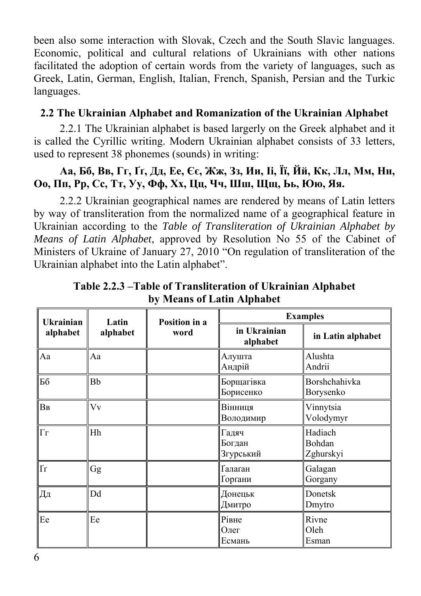been also some interaction with Slovak, Czech and the South Slavic languages. Economic, political and cultural relations of Ukrainians with other nations facilitated the adoption of certain words from the variety of languages, such as Greek, Latin, German, English, Italian, French, Spanish, Persian and the Turkic languages.

## **2.2 The Ukrainian Alphabet and Romanization of the Ukrainian Alphabet**

2.2.1 The Ukrainian alphabet is based largerly on the Greek alphabet and it is called the Cyrillic writing. Modern Ukrainian alphabet consists of 33 letters, used to represent 38 phonemes (sounds) in writing:

## Аа, Бб, Вв, Гг, Гг, Дд, Ее, Єє, Жж, Зз, Ии, Іі, Її, Йй, Кк, Лл, Мм, Нн, Оо, Пп, Рр, Сс, Тт, Уу, Фф, Хх, Цц, Чч, Шш, Щщ, Ьь, Юю, Яя.

2.2.2 Ukrainian geographical names are rendered by means of Latin letters by way of transliteration from the normalized name of a geographical feature in Ukrainian according to the *Table of Transliteration of Ukrainian Alphabet by Means of Latin Alphabet*, approved by Resolution No 55 of the Cabinet of Ministers of Ukraine of January 27, 2010 "On regulation of transliteration of the Ukrainian alphabet into the Latin alphabet".

| <b>Ukrainian</b>         | Latin            | Position in a | <b>Examples</b>              |                                |  |
|--------------------------|------------------|---------------|------------------------------|--------------------------------|--|
| alphabet                 | alphabet<br>word |               | in Ukrainian<br>alphabet     | in Latin alphabet              |  |
| Aa                       | Aa               |               | Алушта<br>Андрій             | Alushta<br>Andrii              |  |
| Бб                       | Bb               |               | Борщагівка<br>Борисенко      | Borshchahivka<br>Borysenko     |  |
| BB                       | Vv               |               | Вінниця<br>Володимир         | Vinnytsia<br>Volodymyr         |  |
| $ \Gamma_{\Gamma} $      | Hh               |               | Гадяч<br>Богдан<br>Згурський | Hadiach<br>Bohdan<br>Zghurskyi |  |
| $\overline{\mathrm{Ir}}$ | Gg               |               | Ґалаґан<br>Горґани           | Galagan<br>Gorgany             |  |
| Дд                       | Dd               |               | Донецьк<br>Дмитро            | Donetsk<br>Dmytro              |  |
| Ee                       | Ee               |               | Рівне<br>Олег<br>Есмань      | Rivne<br>Oleh<br>Esman         |  |

**Table 2.2.3 –Table of Transliteration of Ukrainian Alphabet by Means of Latin Alphabet**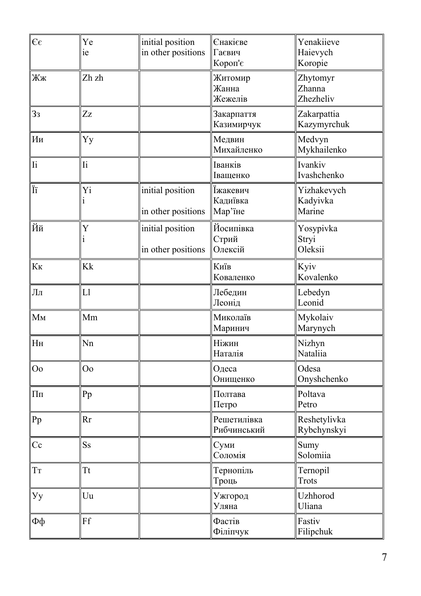| $\epsilon$     | Ye<br>ie                  | initial position<br>in other positions | Єнакієве<br>Гаєвич<br>Короп'є   | Yenakiieve<br>Haievych<br>Koropie |
|----------------|---------------------------|----------------------------------------|---------------------------------|-----------------------------------|
| Жж             | Zh zh                     |                                        | Житомир<br>Жанна<br>Жежелів     | Zhytomyr<br>Zhanna<br>Zhezheliv   |
| 3 <sub>3</sub> | Zz                        |                                        | Закарпаття<br>Казимирчук        | Zakarpattia<br>Kazymyrchuk        |
| Ии             | Yy                        |                                        | Медвин<br>Михайленко            | Medvyn<br>Mykhailenko             |
| Ii             | $\mathop{\rm I}\nolimits$ |                                        | Іванків<br>Іващенко             | Ivankiv<br>Ivashchenko            |
| Ϊï             | Yi                        | initial position<br>in other positions | Їжакевич<br>Кадиївка<br>Мар'їне | Yizhakevych<br>Kadyivka<br>Marine |
| Йй             | Y<br>i                    | initial position<br>in other positions | Йосипівка<br>Стрий<br>Олексій   | Yosypivka<br>Stryi<br>Oleksii     |
| Кк             | Kk                        |                                        | Київ<br>Коваленко               | Kyiv<br>Kovalenko                 |
| Лл             | L1                        |                                        | Лебедин<br>Леонід               | Lebedyn<br>Leonid                 |
| Мм             | Mm                        |                                        | Миколаїв<br>Маринич             | Mykolaiv<br>Marynych              |
| H <sub>H</sub> | Nn                        |                                        | Ніжин<br>Наталія                | Nizhyn<br>Nataliia                |
| O <sub>o</sub> | O <sub>o</sub>            |                                        | Одеса<br>Онищенко               | Odesa<br>Onyshchenko              |
| $\Pi\pi$       | Pp                        |                                        | Полтава<br>Петро                | Poltava<br>Petro                  |
| Pp             | Rr                        |                                        | Решетилівка<br>Рибчинський      | Reshetylivka<br>Rybchynskyi       |
| Cc             | $\rm{S} \rm{s}$           |                                        | Суми<br>Соломія                 | Sumy<br>Solomiia                  |
| TT             | <b>Tt</b>                 |                                        | Тернопіль<br>Троць              | Ternopil<br><b>Trots</b>          |
| Уy             | Uu                        |                                        | Ужгород<br>Уляна                | Uzhhorod<br>Uliana                |
| Фф             | Ff                        |                                        | Фастів<br>Філіпчук              | Fastiv<br>Filipchuk               |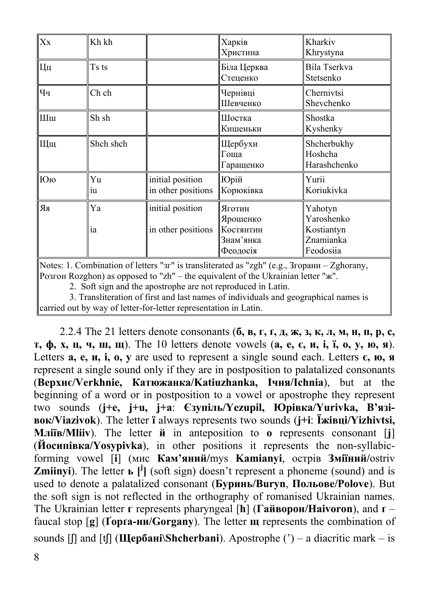| Xx                                                                                                                                                                                                                                                                         | Kh kh     |                                        | Харків<br>Христина                                       | Kharkiv<br>Khrystyna                                          |  |
|----------------------------------------------------------------------------------------------------------------------------------------------------------------------------------------------------------------------------------------------------------------------------|-----------|----------------------------------------|----------------------------------------------------------|---------------------------------------------------------------|--|
| Цц                                                                                                                                                                                                                                                                         | Ts ts     |                                        | Біла Церква<br>Стеценко                                  | Bila Tserkva<br>Stetsenko                                     |  |
| Чч                                                                                                                                                                                                                                                                         | Ch ch     |                                        | Чернівці<br>Шевченко                                     | Chernivtsi<br>Shevchenko                                      |  |
| Шш                                                                                                                                                                                                                                                                         | Sh sh     |                                        | Шостка<br>Кишеньки                                       | Shostka<br>Kyshenky                                           |  |
| Щщ                                                                                                                                                                                                                                                                         | Shch shch |                                        | Щербухи<br>Гоща<br>Гаращенко                             | Shcherbukhy<br>Hoshcha<br>Harashchenko                        |  |
| Юю                                                                                                                                                                                                                                                                         | Yu<br>1u  | initial position<br>in other positions | Юрій<br>Корюківка                                        | Yurii<br>Koriukivka                                           |  |
| RR                                                                                                                                                                                                                                                                         | Ya<br>ia  | initial position<br>in other positions | Яготин<br>Ярошенко<br>Костянтин<br>Знам'янка<br>Феодосія | Yahotyn<br>Yaroshenko<br>Kostiantyn<br>Znamianka<br>Feodosiia |  |
| Notes: 1. Combination of letters "зг" is transliterated as "zgh" (e.g., 3горани – Zghorany,<br>Розгон Rozghon) as opposed to "zh" – the equivalent of the Ukrainian letter "ж".<br>$\Omega$ . Called a constant that are a strongly a construction of the state of the $L$ |           |                                        |                                                          |                                                               |  |

2. Soft sign and the apostrophe are not reproduced in Latin.

3. Transliteration of first and last names of individuals and geographical names is

carried out by way of letter-for-letter representation in Latin.

2.2.4 The 21 letters denote consonants  $(6, B, r, r, \mu, \kappa, 3, \kappa, \pi, M, H, \pi, p, c,$ т, ф, х, ц, ч, ш, щ). The 10 letters denote vowels (a, e,  $\epsilon$ , и, i, ï, o, y, ю, я). Letters **а, е, и, і, о, у** are used to represent a single sound each. Letters **є, ю, я** represent a single sound only if they are in postposition to palatalized consonants (**Верхнє/Verkhnie, Катюжанка/Katiuzhanka, Ічня/Ichnia**), but at the beginning of a word or in postposition to a vowel or apostrophe they represent two sounds (**j+е, j+u, j+а**: **Єзупіль/Yezupil, Юрівка/Yurivka, В'язівок/Viazivok**). The letter **ї** always represents two sounds (**j+і**: **Їжівці/Yizhivtsi, Мліїв/Mliiv**). The letter **й** in anteposition to **о** represents consonant [**j**] (**Йосипівка/Yosypivka**), in other positions it represents the non-syllabicforming vowel [**і**] (мис **Кам'яний/**mys **Kamianyi**, острів **Зміїний/**ostriv **Zmiinyi**). The letter **ь**  $[\mathbf{I}^{\mathbf{j}}]$  (soft sign) doesn't represent a phoneme (sound) and is used to denote a palatalized consonant (**Буринь/Buryn**, **Польове/Polove**). But the soft sign is not reflected in the orthography of romanised Ukrainian names. The Ukrainian letter **г** represents pharyngeal [**h**] (**Гайворон/Haivoron**), and **ґ** – faucal stop [**g**] (**Ґорґа-ни/Gorgany**). The letter **щ** represents the combination of sounds [ʃ] and [tʃ] (**Щербані\Shcherbani**). Apostrophe (') – a diacritic mark – is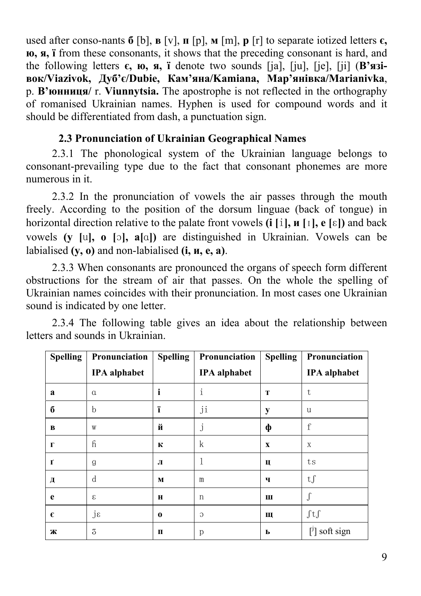used after conso-nants **б** [b], **в** [v], **п** [p], **м** [m], **р** [r] to separate iotized letters **є, ю, я, ї** from these consonants, it shows that the preceding consonant is hard, and the following letters  $\epsilon$ ,  $\kappa$ ,  $\kappa$ ,  $\kappa$ ,  $\kappa$  and  $\epsilon$  is two sounds [ja], [ju], [je], [ji] (**B**'*n***3iвок/Viazivok, Дуб'є/Dubie, Кам'яна/Kamiana, Мар'янівка/Marianivka**, р. **В'юнниця/** r. **Viunnytsia.** The apostrophe is not reflected in the orthography of romanised Ukrainian names. Hyphen is used for compound words and it should be differentiated from dash, a punctuation sign.

### **2.3 Pronunciation of Ukrainian Geographical Names**

2.3.1 The phonological system of the Ukrainian language belongs to consonant-prevailing type due to the fact that consonant phonemes are more numerous in it.

2.3.2 In the pronunciation of vowels the air passes through the mouth freely. According to the position of the dorsum linguae (back of tongue) in horizontal direction relative to the palate front vowels  $(i | i]$ ,  $\mathbf{u} [i]$ ,  $e [ε]$ ) and back vowels **(у [**u**], о [**ɔ**], а[**ɑ**])** are distinguished in Ukrainian. Vowels can be labialised **(у, о)** and non-labialised **(і, и, е, а)**.

2.3.3 When consonants are pronounced the organs of speech form different obstructions for the stream of air that passes. On the whole the spelling of Ukrainian names coincides with their pronunciation. In most cases one Ukrainian sound is indicated by one letter.

2.3.4 The following table gives an idea about the relationship between letters and sounds in Ukrainian.

| <b>Spelling</b> | Pronunciation       | <b>Spelling</b> | Pronunciation       | <b>Spelling</b> | Pronunciation       |
|-----------------|---------------------|-----------------|---------------------|-----------------|---------------------|
|                 | <b>IPA</b> alphabet |                 | <b>IPA</b> alphabet |                 | <b>IPA</b> alphabet |
| a               | $\alpha$            | i               | $\mathbf{i}$        | T               | t                   |
| $\bf{6}$        | b                   | ï               | ji                  | y               | u                   |
| B               | W                   | й               | j                   | ф               | f                   |
| $\Gamma$        | $\mathbf{h}$        | К               | k                   | $\mathbf x$     | X                   |
| $\mathbf{r}$    | g                   | Л               | 1                   | Ц               | ts                  |
| Д               | d                   | M               | m                   | ч               | tf                  |
| e               | $\epsilon$          | $\mathbf H$     | n                   | Ш               |                     |
| €               | $j\epsilon$         | $\bf{0}$        | $\circ$             | Щ               | $\int tf$           |
| Ж               | 3                   | п               | р                   | ь               | $\lceil$ soft sign  |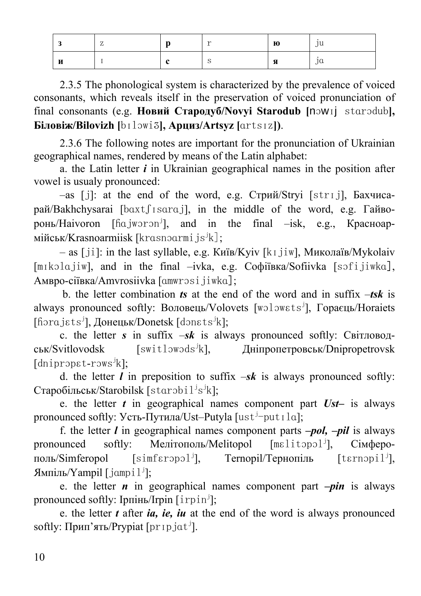|        | - | 10 | ю   | 111<br>'u |
|--------|---|----|-----|-----------|
| та<br> |   | ◡  | ,,, | iů        |

2.3.5 The phonological system is characterized by the prevalence of voiced consonants, which reveals itself in the preservation of voiced pronunciation of final consonants (e.g. **Новий Стародуб/Novyi Starodub [**nɔwɪj stɑrɔdub**], Біловіж/Bilovizh [**bɪlɔwiʒ**], Арциз/Artsyz [**ɑrtsɪz**])**.

2.3.6 The following notes are important for the pronunciation of Ukrainian geographical names, rendered by means of the Latin alphabet:

a. the Latin letter *i* in Ukrainian geographical names in the position after vowel is usualy pronounced:

–as [j]: at the end of the word, e.g. Стрий/Stryi [strɪj], Бахчисарай/Bakhchysarai [bɑxtʃɪsɑrɑj], in the middle of the word, e.g. Гайворонь/Haivoron [ɦɑjwɔrɔnj and in the final  $-$ isk, e.g., Красноармійськ/Krasnoarmiisk [krɑsnɔɑrmi js<sup>j</sup>k];

– as [ji]: in the last syllable, e.g. Київ/Kyiv [kɪjiw], Миколаїв/Mykolaiv [mɪkɔlɑjiw], and in the final -ivka, e.g. Coфiївка/Sofiivka [sɔfijiwkɑ], Амвро-сіївка/Amvrosiivka [ɑmwrɔsijiwkɑ];

 b. the letter combination *ts* at the end of the word and in suffix –*tsk* is always pronounced softly: Воловець/Volovets [wɔlɔwɛtsj ], Гораєць/Horaiets [fiorajɛts<sup>j</sup>], Донецьк/Donetsk [donɛts<sup>j</sup>k];

c. the letter *s* in suffix –*sk* is always pronounced softly: Світловодськ/Svitlovodsk [switlɔwɔdsj k], Дніпропетровськ/Dnipropetrovsk [dnipropɛt-rɔws<sup>j</sup>k];

d. the letter *l* in preposition to suffix  $-sk$  is always pronounced softly: Старобільськ/Starobilsk [starobil<sup>j</sup>s<sup>j</sup>k];

e. the letter *t* in geographical names сomponent part *Ust–* is always pronounced softly: Усть-Путила/Ust–Putyla [ust<sup>j</sup>-put Ila];

f. the letter *l* in geographical names component parts *–pol, –pil* is always pronounced softly: Мелітополь/Melitopol [mɛlitɔpɔl<sup>j</sup>], ], Сімферополь/Simferopol [simfɛrɔpɔlj Теrnopil/Тернопіль  $[$ t $\epsilon$ rnopi $1^j$ ], Ямпіль/Yampil [jɑmpil<sup>j</sup>];

e. the letter *n* in geographical names component part *–pin* is always pronounced softly: Iрпінь/Irpin  $\lceil$ irpin<sup>j</sup>];

e. the letter *t* after *ia, ie, iu* at the end of the word is always pronounced softly: Прип'ять/Prypiat [pr 1p jat<sup> j</sup>].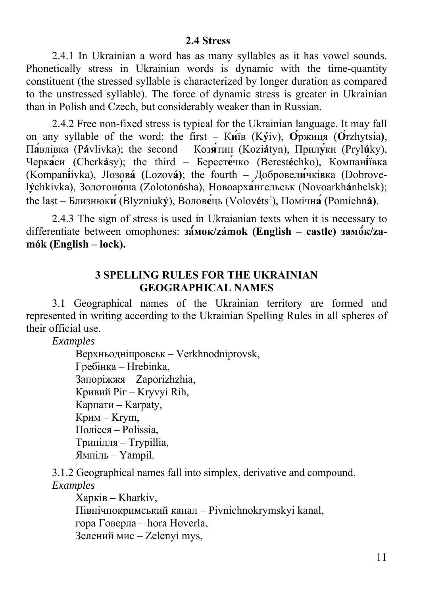2.4.1 In Ukrainian a word has as many syllables as it has vowel sounds. Phonetically stress in Ukrainian words is dynamic with the time-quantity constituent (the stressed syllable is characterized by longer duration as compared to the unstressed syllable). The force of dynamic stress is greater in Ukrainian than in Polish and Czech, but considerably weaker than in Russian.

2.4.2 Free non-fixed stress is typical for the Ukrainian language. It may fall on any syllable of the word: the first –  $K$ *u* $\hat{H}$ <sup>3</sup> (*K***y** $\hat{H}$ **)**,  $\hat{O}$ <sup>*p*</sup>*px* $\hat{H}$ *u* $\hat{H}$ *(C* $\hat{H}$ *z* $\hat{H}$ *y* $\hat{H}$ *s*), П**а́**влівка (P**á**vlivka); the second – Коз**я́**тин (Kozi**á**tyn), Прил**у́**ки (Pryl**ú**ky), Черк**а́**си (Cherk**á**sy); the third – Берест**е́**чко (Berest**é**chko), Компан**і́**ївка (Kompan**i**́ivka), Лозов**á (**Lozov**á)**; the fourth – Добровел**и́**чківка (Dobrovel**ý**chkivka), Золотон**о́**ша (Zoloton**ó**sha), Новоарх**а́**нгельськ (Novoarkh**á**nhelsk); the last – Близнюк**и́**(Blyzniuk**ý**), Волов**е́**ць (Volov**é**ts<sup>j</sup> ), Помічн**а́ (**Pomichn**á)**.

2.4.3 The sign of stress is used in Ukraianian texts when it is necessary to differentiate between omophones: **зá́мок/zámok (English – castle) замó́к/zamók (English – lock).** 

## **3 SPELLING RULES FOR THE UKRAINIAN GEOGRAPHICAL NAMES**

3.1 Geographical names of the Ukrainian territory are formed and represented in writing according to the Ukrainian Spelling Rules in all spheres of their official use.

*Examples* 

Верхньодніпровськ – Verkhnodniprovsk, Гребінка – Hrebinka, Запоріжжя – Zaporizhzhia, Кривий Ріг – Kryvyi Rih, Карпати – Karpaty, Крим – Krym, Полісся – Polissia, Трипілля – Trypillia, Ямпіль – Yampil.

3.1.2 Geographical names fall into simplex, derivative and compound. *Examples* 

Харків – Kharkiv, Північнокримський канал – Pivnichnokrymskyi kanal, гора Говерла – hora Hoverla, Зелений мис – Zelenyi mys,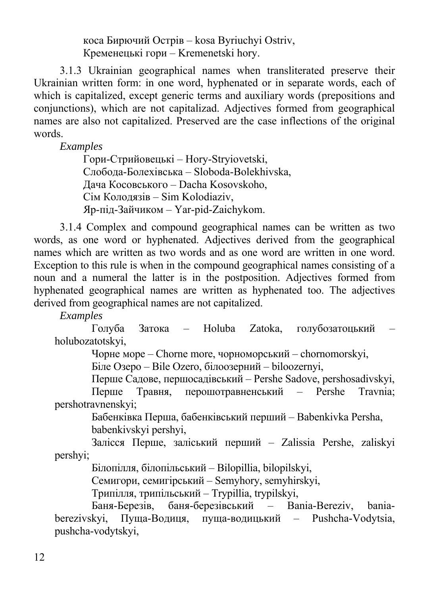коса Бирючий Острів – kosa Byriuchyi Ostriv, Кременецькі гори – Kremenetski hory.

3.1.3 Ukrainian geographical names when transliterated preserve their Ukrainian written form: in one word, hyphenated or in separate words, each of which is capitalized, except generic terms and auxiliary words (prepositions and conjunctions), which are not capitalizad. Adjectives formed from geographical names are also not capitalized. Preserved are the case inflections of the original words.

*Examples* 

Гори-Стрийовецькі – Hory-Stryiovetski, Слобода-Болехівська – Sloboda-Bolekhivska, Дача Косовського – Dacha Kosovskoho, Сім Колодязів – Sіm Kolodiaziv, Яр-під-Зайчиком – Yar-pid-Zaichykom.

3.1.4 Complex and compound geographical names can be written as two words, as one word or hyphenated. Adjectives derived from the geographical names which are written as two words and as one word are written in one word. Exception to this rule is when in the compound geographical names consisting of a noun and a numeral the latter is in the postposition. Adjectives formed from hyphenated geographical names are written as hyphenated too. The adjectives derived from geographical names are not capitalized.

*Examples*

Голуба Затока – Holuba Zatoka, голубозатоцький – holubozatotskyi,

Чорне море – Chorne more, чорноморський – chornomorskyi,

Біле Озеро – Bile Ozero, білоозерний – biloozernyi,

Перше Садове, першoсадівський – Pershe Sadove, pershosadivskyi, Перше Травня, перошотравненський – Pershe Travnia;

pershotravnenskyi;

Бабенківка Перша, бабенківський перший – Babenkivka Persha, babenkivskyi pershyi,

Залісся Перше, заліський перший – Zalissia Pershe, zaliskyi pershyi;

Білопілля, білопільський – Bilopillia, bilopilskyi,

Семигори, семигірський – Semуhory, semyhirskyi,

Трипілля, трипільський – Trypillia, trypilskyi,

Баня-Березів, баня-березівський – Bania-Bereziv, baniaberezivskyi, Пуща-Водиця, пуща-водицький – Pushcha-Vodytsia, pushcha-vodytskyi,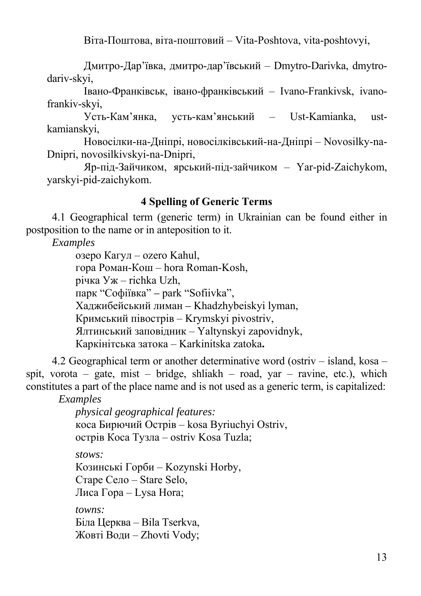Віта-Поштова, віта-поштовий – Vita-Poshtova, vita-poshtovyi,

Дмитро-Дар'ївка, дмитро-дар'ївський – Dmytro-Darivka, dmytrodariv-skyi,

Івано-Франківськ, івано-франківський – Ivano-Frankivsk, ivanofrankiv-skyi,

Усть-Кам'янка, усть-кам'янський – Ust-Kamianka, ustkamianskyi,

Новосілки-на-Дніпрі, новосілківський-на-Дніпрі – Novosilky-na-Dnipri, novosilkivskyi-na-Dnipri,

Яр-під-Зайчиком, ярський-під-зайчиком – Yar-pid-Zaichykom, yarskyi-pid-zaichykom.

## **4 Spelling of Generic Terms**

4.1 Geographical term (generic term) in Ukrainian can be found either in postposition to the name or in anteposition to it.

*Examples* 

озеро Кагул – ozero Kahul, гора Роман-Кош – hora Roman-Kosh, річка Уж – richka Uzh, парк "Софіївка" *–* park "Sofiivka", Хаджибейський лиман *–* Khadzhybeiskyi lyman, Кримський півострів – Krymskyi pivostriv, Ялтинський заповідник – Yaltynskyi zapovidnyk, Каркінітська затока – Karkinitska zatoka**.** 

4.2 Geographical term or another determinative word (ostriv – island, kosa – spit, vorota – gate, mist – bridge, shliakh – road, yar – ravine, etc.), which constitutes a part of the place name and is not used as a generic term, is capitalized:

 *Examples* 

*physical geographical features:*  коса Бирючий Острів – kosa Byriuchyi Ostriv, острів Коса Тузла – ostriv Kosa Tuzla;

*stows:*  Козинські Горби – Kozynski Horby, Старе Село – Stare Selo, Лиса Гора – Lysa Hora;

*towns:* Біла Церква – Bila Tserkva, Жовті Води – Zhovti Vody;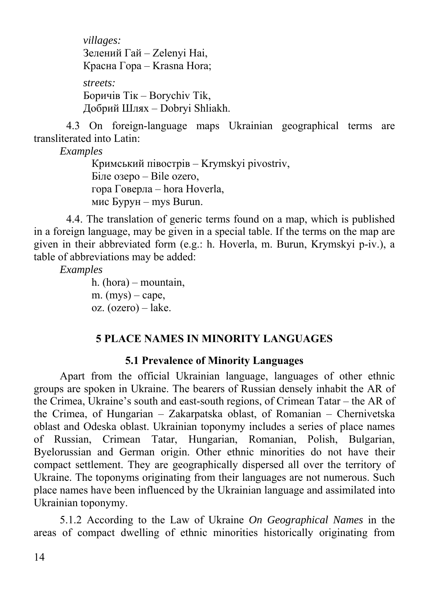*villages:*  Зелений Гай – Zelenyi Hai, Красна Гора – Krasna Hora; *streets:*  Боричів Тік – Borychiv Tik, Добрий Шлях – Dobryi Shliakh.

4.3 On foreign-language maps Ukrainian geographical terms are transliterated into Latin:

*Examples*

Кримський півострів – Krymskyi pivostriv, Біле озеро – Bile ozero, гора Говерла – hora Hoverla, мис Бурун – mys Burun.

 4.4. The translation of generic terms found on a map, which is published in a foreign language, may be given in a special table. If the terms on the map are given in their abbreviated form (e.g.: h. Hoverla, m. Burun, Krymskyi p-iv.), a table of abbreviations may be added:

*Examples*

h. (hora) – mountain, m.  $(mys)$  – cape, oz. (ozero) – lake.

## **5 PLACE NAMES IN MINORITY LANGUAGES**

#### **5.1 Prevalence of Minority Languages**

Apart from the official Ukrainian language, languages of other ethnic groups are spoken in Ukraine. The bearers of Russian densely inhabit the AR of the Crimea, Ukraine's south and east-south regions, of Crimean Tatar – the AR of the Crimea, of Hungarian – Zakarpatska oblast, of Romanian – Chernivetska oblast and Odeska oblast. Ukrainian toponymy includes a series of place names of Russian, Crimean Tatar, Hungarian, Romanian, Polish, Bulgarian, Byelorussian and German origin. Other ethnic minorities do not have their compact settlement. They are geographically dispersed all over the territory of Ukraine. The toponyms originating from their languages are not numerous. Such place names have been influenced by the Ukrainian language and assimilated into Ukrainian toponymy.

5.1.2 According to the Law of Ukraine *On Geographical Names* in the areas of compact dwelling of ethnic minorities historically originating from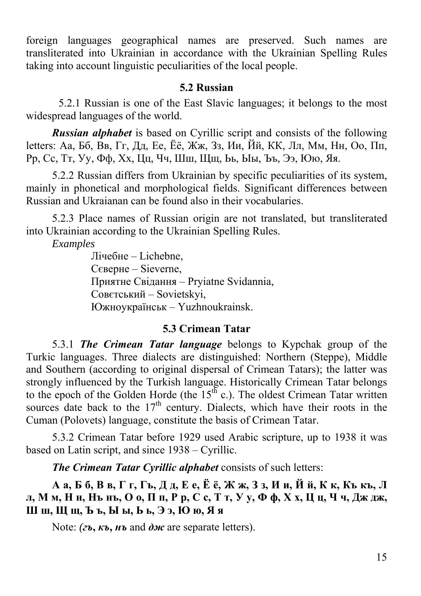foreign languages geographical names are preserved. Such names are transliterated into Ukrainian in accordance with the Ukrainian Spelling Rules taking into account linguistic peculiarities of the local people.

#### **5.2 Russian**

5.2.1 Russian is one of the East Slavic languages; it belongs to the most widespread languages of the world.

*Russian alphabet* is based on Cyrillic script and consists of the following letters: Аа, Бб, Вв, Гг, Дд, Ее, Ёё, Жж, Зз, Ии, Йй, КК, Лл, Мм, Нн, Оо, Пп, Рр, Сс, Тт, Уу, Фф, Хх, Цц, Чч, Шш, Щщ, Ьь, Ыы, Ъъ, Ээ, Юю, Яя.

5.2.2 Russian differs from Ukrainian by specific peculiarities of its system, mainly in phonetical and morphological fields. Significant differences between Russian and Ukraianan can be found also in their vocabularies.

5.2.3 Place names of Russian origin are not translated, but transliterated into Ukrainian according to the Ukrainian Spelling Rules.

*Examples* 

 Лічебне – Lichebne, Сєверне – Sieverne, Приятне Свідання – Pryiatne Svidannia, Совєтський – Sovietskyi, Южноукраїнськ – Yuzhnoukrainsk.

#### **5.3 Crimean Tatar**

5.3.1 *The Crimean Tatar language* belongs to Kypchak group of the Turkic languages. Three dialects are distinguished: Northern (Steppe), Middle and Southern (according to original dispersal of Crimean Tatars); the latter was strongly influenced by the Turkish language. Historically Crimean Tatar belongs to the epoch of the Golden Horde (the  $15<sup>th</sup>$  c.). The oldest Crimean Tatar written sources date back to the  $17<sup>th</sup>$  century. Dialects, which have their roots in the Cuman (Polovets) language, constitute the basis of Crimean Tatar.

5.3.2 Crimean Tatar before 1929 used Arabic scripture, up to 1938 it was based on Latin script, and since 1938 – Cyrillic.

*The Crimean Tatar Cyrillic alphabet* consists of such letters:

Аа, Б б, В в, Г г, Гъ, Д д, Е е, Ё ё, Ж ж, З з, И и, Й й, К к, Къ къ, Л л, Мм, Нн, Нънъ, Оо, Пп, Рр, Сс, Тт, Уу, Фф, Хх, Цц, Чч, Дждж, **Ш ш, Щ щ, Ъ ъ, Ы ы, Ь ь, Э э, Ю ю, Я я** 

Note: *(гъ***,** *къ***,** *нъ* and *дж* are separate letters).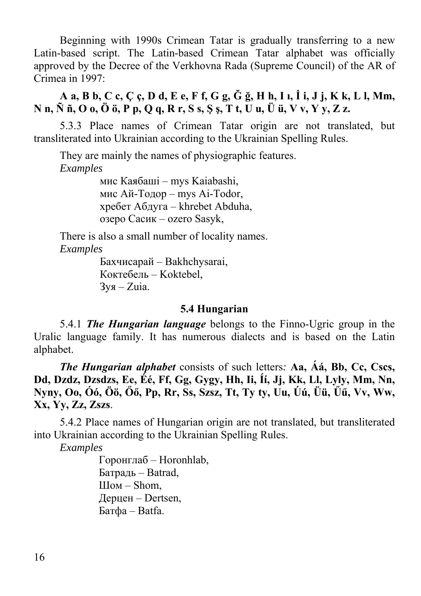Beginning with 1990s Crimean Tatar is gradually transferring to a new Latin-based script. The Latin-based Crimean Tatar alphabet was officially approved by the Decree of the Verkhovna Rada (Supreme Council) of the AR of Crimea in 1997:

**A a, B b, C c, Ç ç, D d, E e, F f, G g, Ğ ğ, H h, I ı, İ i, J j, K k, L l, Mm, N n, Ñ ñ, O o, Ö ö, P p, Q q, R r, S s, Ş ş, T t, U u, Ü ü, V v, Y y, Z z.** 

5.3.3 Place names of Crimean Tatar origin are not translated, but transliterated into Ukrainian according to the Ukrainian Spelling Rules.

They are mainly the names of physiographic features. *Examples* 

> мис Каябаші – mys Kaiabashi, мис Ай-Тодор – mys Ai-Todor, хребет Абдуга – khrebet Abduha, озеро Сасик – ozero Sasyk,

There is also a small number of locality names. *Examples*

> Бахчисарай – Bakhchysarai, Коктебель – Koktebel,  $3y<sub>8</sub> - Z$ ија.

#### **5.4 Hungarian**

5.4.1 *The Hungarian language* belongs to the Finno-Ugric group in the Uralic language family. It has numerous dialects and is based on the Latin alphabet.

*The Hungarian alphabet* consists of such letters*:* **Aa, Áá, Bb, Cc, Cscs, Dd, Dzdz, Dzsdzs, Ee, Éé, Ff, Gg, Gygy, Hh, Ii, Íí, Jj, Kk, Ll, Lyly, Mm, Nn, Nyny, Oo, Óó, Öö, Őő, Pp, Rr, Ss, Szsz, Tt, Ty ty, Uu, Úú, Üü, Űű, Vv, Ww, Xx, Yy, Zz, Zszs**.

5.4.2 Place names of Hungarian origin are not translated, but transliterated into Ukrainian according to the Ukrainian Spelling Rules.

*Examples* 

Горонглаб – Horonhlab, Батрадь – Batrad, Шом – Shom, Дерцен – Dertsen, Батфа – Batfa.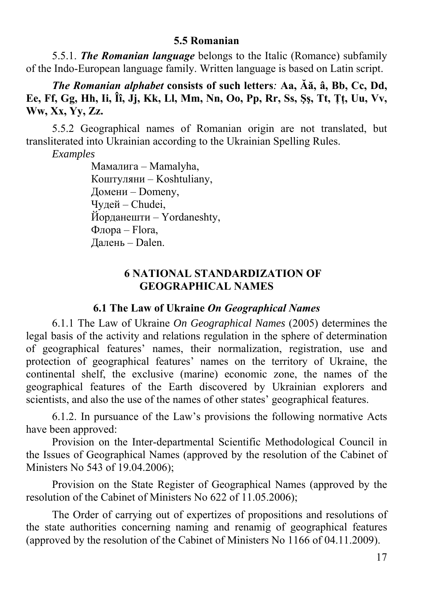#### **5.5 Romanian**

5.5.1. *The Romanian language* belongs to the Italic (Romance) subfamily of the Indo-European language family. Written language is based on Latin script.

*The Romanian alphabet* **consists of such letters***:* **Aa, Ăă, â, Bb, Cc, Dd, Ee, Ff, Gg, Hh, Ii, Îî, Jj, Kk, Ll, Mm, Nn, Oo, Pp, Rr, Ss, Şş, Tt, Ţţ, Uu, Vv, Ww, Xx, Yy, Zz.** 

5.5.2 Geographical names of Romanian origin are not translated, but transliterated into Ukrainian according to the Ukrainian Spelling Rules.

*Examples*

Мамалига – Mamalyha, Коштуляни – Koshtuliany, Домени – Domeny, Чудей – Chudei, Йорданешти – Yordaneshty, Флора – Flora, Далень – Dalen.

## **6 NATIONAL STANDARDIZATION OF GEOGRAPHICAL NAMES**

#### **6.1 The Law of Ukraine** *On Geographical Names*

6.1.1 The Law of Ukraine *On Geographical Names* (2005) determines the legal basis of the activity and relations regulation in the sphere of determination of geographical features' names, their normalization, registration, use and protection of geographical features' names on the territory of Ukraine, the continental shelf, the exclusive (marine) economic zone, the names of the geographical features of the Earth discovered by Ukrainian explorers and scientists, and also the use of the names of other states' geographical features.

6.1.2. In pursuance of the Law's provisions the following normative Acts have been approved:

Provision on the Inter-departmental Scientific Methodological Council in the Issues of Geographical Names (approved by the resolution of the Cabinet of Ministers No 543 of 19.04.2006);

Provision on the State Register of Geographical Names (approved by the resolution of the Cabinet of Ministers No 622 of 11.05.2006);

The Order of carrying out of expertizes of propositions and resolutions of the state authorities concerning naming and renamig of geographical features (approved by the resolution of the Cabinet of Ministers No 1166 of 04.11.2009).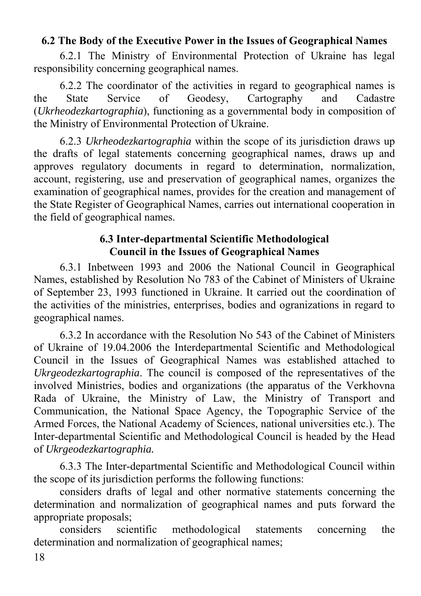## **6.2 The Body of the Executive Power in the Issues of Geographical Names**

6.2.1 The Ministry of Environmental Protection of Ukraine has legal responsibility concerning geographical names.

6.2.2 The coordinator of the activities in regard to geographical names is the State Service of Geodesy, Cartography and Cadastre (*Ukrheodezkartographia*), functioning as a governmental body in composition of the Ministry of Environmental Protection of Ukraine.

6.2.3 *Ukrheodezkartographia* within the scope of its jurisdiction draws up the drafts of legal statements concerning geographical names, draws up and approves regulatory documents in regard to determination, normalization, account, registering, use and preservation of geographical names, organizes the examination of geographical names, provides for the creation and management of the State Register of Geographical Names, carries out international cooperation in the field of geographical names.

## **6.3 Inter-departmental Scientific Methodological Council in the Issues of Geographical Names**

6.3.1 Inbetween 1993 and 2006 the National Council in Geographical Names, established by Resolution No 783 of the Cabinet of Ministers of Ukraine of September 23, 1993 functioned in Ukraine. It carried out the coordination of the activities of the ministries, enterprises, bodies and ogranizations in regard to geographical names.

6.3.2 In accordance with the Resolution No 543 of the Cabinet of Ministers of Ukraine of 19.04.2006 the Interdepartmental Scientific and Methodological Council in the Issues of Geographical Names was established attached to *Ukrgeodezkartographia*. The council is composed of the representatives of the involved Ministries, bodies and organizations (the apparatus of the Verkhovna Rada of Ukraine, the Ministry of Law, the Ministry of Transport and Communication, the National Space Agency, the Topographic Service of the Armed Forces, the National Academy of Sciences, national universities etc.). The Inter-departmental Scientific and Methodological Council is headed by the Head of *Ukrgeodezkartographia.*

6.3.3 The Inter-departmental Scientific and Methodological Council within the scope of its jurisdiction performs the following functions:

considers drafts of legal and other normative statements concerning the determination and normalization of geographical names and puts forward the appropriate proposals;

considers scientific methodological statements concerning the determination and normalization of geographical names;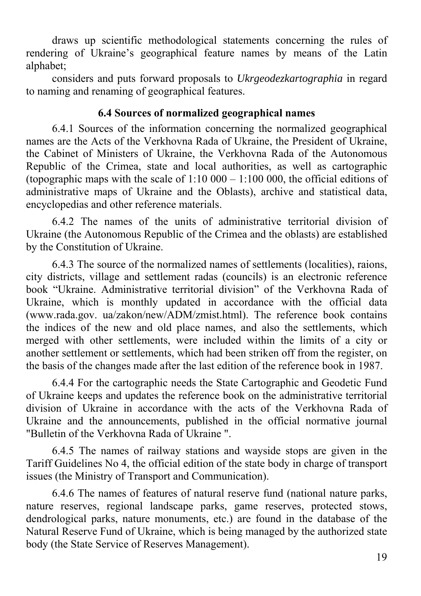draws up scientific methodological statements concerning the rules of rendering of Ukraine's geographical feature names by means of the Latin alphabet;

considers and puts forward proposals to *Ukrgeodezkartographia* in regard to naming and renaming of geographical features.

## **6.4 Sources of normalized geographical names**

6.4.1 Sources of the information concerning the normalized geographical names are the Acts of the Verkhovna Rada of Ukraine, the President of Ukraine, the Cabinet of Ministers of Ukraine, the Verkhovna Rada of the Autonomous Republic of the Crimea, state and local authorities, as well as cartographic (topographic maps with the scale of  $1:10\,000 - 1:100\,000$ , the official editions of administrative maps of Ukraine and the Oblasts), archive and statistical data, encyclopedias and other reference materials.

6.4.2 The names of the units of administrative territorial division of Ukraine (the Autonomous Republic of the Crimea and the oblasts) are established by the Constitution of Ukraine.

6.4.3 The source of the normalized names of settlements (localities), raions, city districts, village and settlement radas (councils) is an electronic reference book "Ukraine. Administrative territorial division" of the Verkhovna Rada of Ukraine, which is monthly updated in accordance with the official data (www.rada.gov. ua/zakon/new/ADM/zmist.html). The reference book contains the indices of the new and old place names, and also the settlements, which merged with other settlements, were included within the limits of a city or another settlement or settlements, which had been striken off from the register, on the basis of the changes made after the last edition of the reference book in 1987.

6.4.4 For the cartographic needs the State Cartographic and Geodetic Fund of Ukraine keeps and updates the reference book on the administrative territorial division of Ukraine in accordance with the acts of the Verkhovna Rada of Ukraine and the announcements, published in the official normative journal "Bulletin of the Verkhovna Rada of Ukraine ".

6.4.5 The names of railway stations and wayside stops are given in the Tariff Guidelines No 4, the official edition of the state body in charge of transport issues (the Ministry of Transport and Communication).

6.4.6 The names of features of natural reserve fund (national nature parks, nature reserves, regional landscape parks, game reserves, protected stows, dendrological parks, nature monuments, etc.) are found in the database of the Natural Reserve Fund of Ukraine, which is being managed by the authorized state body (the State Service of Reserves Management).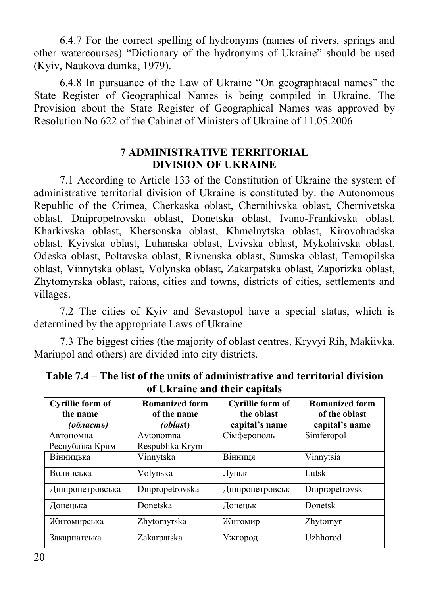6.4.7 For the correct spelling of hydronyms (names of rivers, springs and other watercourses) "Dictionary of the hydronyms of Ukraine" should be used (Kyiv, Naukova dumka, 1979).

6.4.8 In pursuance of the Law of Ukraine "On geographiacal names" the State Register of Geographical Names is being compiled in Ukraine. The Provision about the State Register of Geographical Names was approved by Resolution No 622 of the Cabinet of Ministers of Ukraine of 11.05.2006.

## **7 ADMINISTRATIVE TERRITORIAL DIVISION OF UKRAINE**

7.1 According to Article 133 of the Constitution of Ukraine the system of administrative territorial division of Ukraine is constituted by: the Autonomous Republic of the Crimea, Cherkaska oblast, Chernihivska oblast, Chernivetska oblast, Dnipropetrovska oblast, Donetska oblast, Ivano-Frankivska oblast, Kharkivska oblast, Khersonska oblast, Khmelnytska oblast, Kirovohradska oblast, Kyivska oblast, Luhanska oblast, Lvivska oblast, Mykolaivska oblast, Odeska oblast, Poltavska oblast, Rivnenska oblast, Sumska oblast, Ternopilska oblast, Vinnytska oblast, Volynska oblast, Zakarpatska oblast, Zaporizka oblast, Zhytomyrska oblast, raions, cities and towns, districts of cities, settlements and villages.

7.2 The cities of Kyiv and Sevastopol have a special status, which is determined by the appropriate Laws of Ukraine.

7.3 The biggest cities (the majority of oblast centres, Kryvyi Rih, Makiivka, Mariupol and others) are divided into city districts.

| Cyrillic form of<br>the name<br>(область) | <b>Romanized form</b><br>of the name<br><i>(oblast)</i> | Cyrillic form of<br>the oblast<br>capital's name | <b>Romanized form</b><br>of the oblast<br>capital's name |
|-------------------------------------------|---------------------------------------------------------|--------------------------------------------------|----------------------------------------------------------|
| Автономна<br>Республіка Крим              | Avtonomna<br>Respublika Krym                            | Сімферополь                                      | Simferopol                                               |
| Вінницька                                 | Vinnytska                                               | Вінниця                                          | Vinnytsia                                                |
| Волинська                                 | Volynska                                                | Луцьк                                            | Lutsk                                                    |
| Дніпропетровська                          | Dnipropetrovska                                         | Дніпропетровськ                                  | Dnipropetrovsk                                           |
| Донецька                                  | Donetska                                                | Донецьк                                          | <b>Donetsk</b>                                           |
| Житомирська                               | Zhytomyrska                                             | Житомир                                          | Zhytomyr                                                 |
| Закарпатська                              | Zakarpatska                                             | Ужгород                                          | Uzhhorod                                                 |

**Table 7.4** – **The list of the units of administrative and territorial division of Ukraine and their capitals**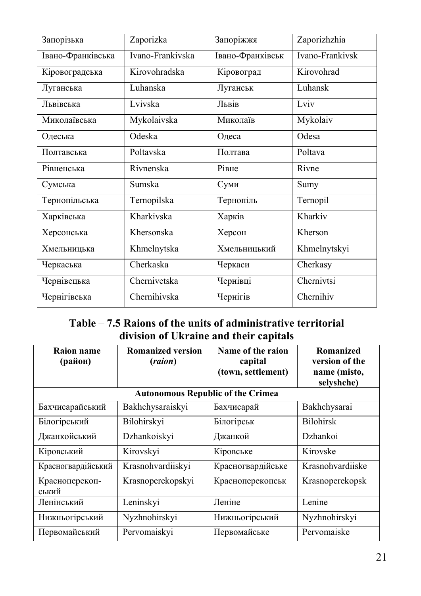| Запорізька        | Zaporizka        | Запоріжжя        | Zaporizhzhia    |
|-------------------|------------------|------------------|-----------------|
| Івано-Франківська | Ivano-Frankivska | Івано-Франківськ | Ivano-Frankivsk |
| Кіровоградська    | Kirovohradska    | Кіровоград       | Kirovohrad      |
| Луганська         | Luhanska         | Луганськ         | Luhansk         |
| Львівська         | Lvivska          | Львів            | Lviv            |
| Миколаївська      | Mykolaivska      | Миколаїв         | Mykolaiv        |
| Одеська           | Odeska           | Одеса            | Odesa           |
| Полтавська        | Poltavska        | Полтава          | Poltava         |
| Рівненська        | Rivnenska        | Рівне            | Rivne           |
| Сумська           | Sumska           | Суми             | Sumy            |
| Тернопільська     | Ternopilska      | Тернопіль        | Ternopil        |
| Харківська        | Kharkivska       | Харків           | Kharkiv         |
| Херсонська        | Khersonska       | Херсон           | Kherson         |
| Хмельницька       | Khmelnytska      | Хмельницький     | Khmelnytskyi    |
| Черкаська         | Cherkaska        | Черкаси          | Cherkasy        |
| Чернівецька       | Chernivetska     | Чернівці         | Chernivtsi      |
| Чернігівська      | Chernihivska     | Чернігів         | Chernihiv       |

# **Table** – **7.5 Raions of the units of administrative territorial division of Ukraine and their capitals**

| Raion name<br>(район)   | <b>Romanized version</b><br>(raion)      | Name of the raion<br>capital<br>(town, settlement) | Romanized<br>version of the<br>name (misto,<br>selyshche) |
|-------------------------|------------------------------------------|----------------------------------------------------|-----------------------------------------------------------|
|                         | <b>Autonomous Republic of the Crimea</b> |                                                    |                                                           |
| Бахчисарайський         | Bakhchysaraiskyi                         | Бахчисарай                                         | Bakhchysarai                                              |
| Білогірський            | Bilohirskyi                              | Білогірськ                                         | <b>Bilohirsk</b>                                          |
| Джанкойський            | Dzhankoiskyi                             | Джанкой                                            | Dzhankoi                                                  |
| Кіровський              | Kirovskyi                                | Кіровське                                          | Kirovske                                                  |
| Красногвардійський      | Krasnohvardiiskyi                        | Красногвардійське                                  | Krasnohvardijske                                          |
| Красноперекоп-<br>ський | Krasnoperekopskyi                        | Красноперекопськ                                   | Krasnoperekopsk                                           |
| Ленінський              | Leninskyi                                | Леніне                                             | Lenine                                                    |
| Нижньогірський          | Nyzhnohirskyi                            | Нижньогірський                                     | Nyzhnohirskyi                                             |
| Первомайський           | Pervomaiskyi                             | Первомайське                                       | Pervomaiske                                               |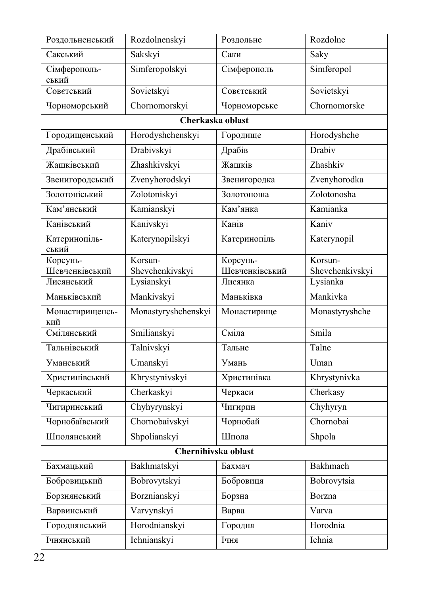| Роздольненський              | Rozdolnenskyi                 | Роздольне                 | Rozdolne                    |
|------------------------------|-------------------------------|---------------------------|-----------------------------|
| Сакський                     | Sakskyi                       | Саки                      | Saky                        |
| Сімферополь-<br>ський        | Simferopolskyi                | Сімферополь               | Simferopol                  |
| Советський                   | Sovietskyi                    | Советський                | Sovietskyi                  |
| Чорноморський                | Chornomorskyi                 | Чорноморське              | Chornomorske                |
|                              | Cherkaska oblast              |                           |                             |
| Городищенський               | Horodyshchenskyi              | Городище                  | Horodyshche                 |
| Драбівський                  | Drabivskyi                    | Драбів                    | Drabiv                      |
| Жашківський                  | Zhashkivskyi                  | Жашків                    | Zhashkiv                    |
| Звенигородський              | Zvenyhorodskyi                | Звенигородка              | Zvenyhorodka                |
| Золотоніський                | Zolotoniskyi                  | Золотоноша                | Zolotonosha                 |
| Кам'янський                  | Kamianskyi                    | Кам'янка                  | Kamianka                    |
| Канівський                   | Kanivskyi                     | Канів                     | Kaniv                       |
| Катеринопіль-<br>ський       | Katerynopilskyi               | Катеринопіль              | Katerynopil                 |
| Корсунь-                     | Korsun-                       | Корсунь-                  | Korsun-                     |
| Шевченківський<br>Лисянський | Shevchenkivskyi<br>Lysianskyi | Шевченківський<br>Лисянка | Shevchenkivskyi<br>Lysianka |
| Маньківський                 | Mankivskyi                    | Маньківка                 | Mankivka                    |
| Монастирищенсь-              | Monastyryshchenskyi           | Монастирище               | Monastyryshche              |
| кий<br>Смілянський           | Smilianskyi                   | Сміла                     | Smila                       |
| Тальнівський                 | Talnivskyi                    | Тальне                    | Talne                       |
| Уманський                    | Umanskyi                      | Умань                     | Uman                        |
| Христинівський               | Khrystynivskyi                | Христинівка               | Khrystynivka                |
| Черкаський                   | Cherkaskyi                    | Черкаси                   | Cherkasy                    |
| Чигиринський                 | Chyhyrynskyi                  | Чигирин                   | Chyhyryn                    |
| Чорнобаївський               | Chornobaivskyi                | Чорнобай                  | Chornobai                   |
| Шполянський                  | Shpolianskyi                  | Шпола                     | Shpola                      |
|                              | Chernihivska oblast           |                           |                             |
| Бахмацький                   | Bakhmatskyi                   | Бахмач                    | Bakhmach                    |
| Бобровицький                 | Bobrovytskyi                  | Бобровиця                 | Bobrovytsia                 |
| Борзнянський                 | Borznianskyi                  | Борзна                    | Borzna                      |
| Варвинський                  | Varvynskyi                    | Варва                     | Varva                       |
| Городнянський                | Horodnianskyi                 | Городня                   | Horodnia                    |
| Ічнянський                   | Ichnianskyi                   | Ічня                      | Ichnia                      |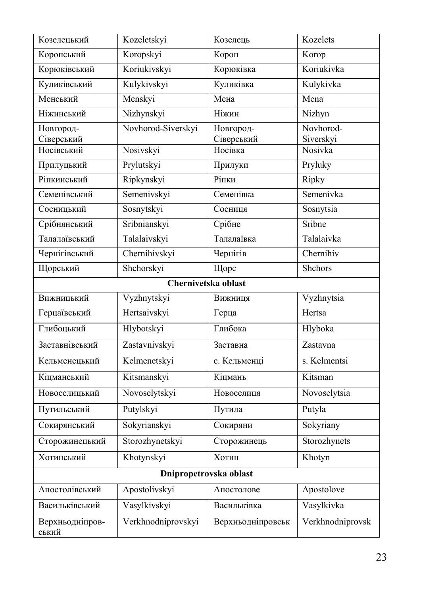| Козелецький              | Kozeletskyi        | Козелець               | Kozelets                     |
|--------------------------|--------------------|------------------------|------------------------------|
| Коропський               | Koropskyi          | Короп                  | Korop                        |
| Корюківський             | Koriukivskyi       | Корюківка              | Koriukivka                   |
| Куликівський             | Kulykivskyi        | Куликівка              | Kulykivka                    |
| Менський                 | Menskyi            | Мена                   | Mena                         |
| Ніжинський               | Nizhynskyi         | Ніжин                  | Nizhyn                       |
| Новгород-<br>Сіверський  | Novhorod-Siverskyi | Новгород-              | Novhorod-                    |
| Носівський               | Nosivskyi          | Сіверський<br>Носівка  | Siverskyi<br>Nosivka         |
| Прилуцький               | Prylutskyi         | Прилуки                | Pryluky                      |
| Ріпкинський              | Ripkynskyi         | Ріпки                  | Ripky                        |
| Семенівський             | Semenivskyi        | Семенівка              | Semenivka                    |
| Сосницький               | Sosnytskyi         | Сосниця                | Sosnytsia                    |
| Срібнянський             | Sribnianskyi       | Срібне                 | Sribne                       |
| Талалаївський            | Talalaivskyi       | Талалаївка             | Talalaivka                   |
| Чернігівський            | Chernihivskyi      | Чернігів               | Chernihiv                    |
| Щорський                 | Shchorskyi         | Щорс                   | Shchors                      |
|                          |                    | Chernivetska oblast    |                              |
| Вижницький               | Vyzhnytskyi        | Вижниця                | Vyzhnytsia                   |
| Герцаївський             | Hertsaivskyi       | Герца                  | Hertsa                       |
| Глибоцький               | Hlybotskyi         | Глибока                | Hlyboka                      |
| Заставнівський           | Zastavnivskyi      | Заставна               | Zastavna                     |
| Кельменецький            | Kelmenetskyi       | с. Кельменці           | s. Kelmentsi                 |
| Кіцманський              | Kitsmanskyi        | Кіцмань                | $\overline{\text{K}}$ itsman |
| Новоселицький            | Novoselytskyi      | Новоселиця             | Novoselytsia                 |
| Путильський              | Putylskyi          | Путила                 | Putyla                       |
| Сокирянський             | Sokyrianskyi       | Сокиряни               | Sokyriany                    |
| Сторожинецький           | Storozhynetskyi    | Сторожинець            | Storozhynets                 |
| Хотинський               | Khotynskyi         | Хотин                  | Khotyn                       |
|                          |                    | Dnipropetrovska oblast |                              |
| Апостолівський           | Apostolivskyi      | Апостолове             | Apostolove                   |
| Васильківський           | Vasylkivskyi       | Васильківка            | Vasylkivka                   |
| Верхньодніпров-<br>ський | Verkhnodniprovskyi | Верхньодніпровськ      | Verkhnodniprovsk             |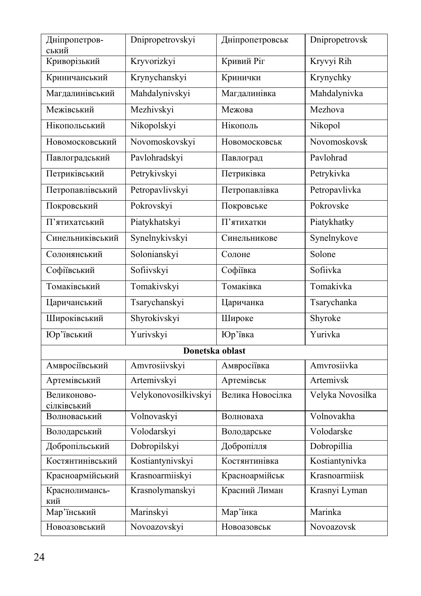| Дніпропетров-<br>ський     | Dnipropetrovskyi     | Дніпропетровськ  | Dnipropetrovsk   |
|----------------------------|----------------------|------------------|------------------|
| Криворізький               | Kryvorizkyi          | Кривий Ріг       | Kryvyi Rih       |
| Криничанський              | Krynychanskyi        | Кринички         | Krynychky        |
| Магдалинівський            | Mahdalynivskyi       | Магдалинівка     | Mahdalynivka     |
| Межівський                 | Mezhivskyi           | Межова           | Mezhova          |
| Нікопольський              | Nikopolskyi          | Нікополь         | Nikopol          |
| Новомосковський            | Novomoskovskyi       | Новомосковськ    | Novomoskovsk     |
| Павлоградський             | Pavlohradskyi        | Павлоград        | Pavlohrad        |
| Петриківський              | Petrykivskyi         | Петриківка       | Petrykivka       |
| Петропавлівський           | Petropavlivskyi      | Петропавлівка    | Petropavlivka    |
| Покровський                | Pokrovskyi           | Покровське       | Pokrovske        |
| П'ятихатський              | Piatykhatskyi        | П'ятихатки       | Piatykhatky      |
| Синельниківський           | Synelnykivskyi       | Синельникове     | Synelnykove      |
| Солонянський               | Solonianskyi         | Солоне           | Solone           |
| Софіївський                | Sofiivskyi           | Софіївка         | Sofiivka         |
| Томаківський               | Tomakivskyi          | Томаківка        | Tomakivka        |
| Царичанський               | Tsarychanskyi        | Царичанка        | Tsarychanka      |
| Широківський               | Shyrokivskyi         | Широке           | Shyroke          |
| Юр'ївський                 | Yurivskyi            | Юр'ївка          | Yurivka          |
|                            | Donetska oblast      |                  |                  |
| Амвросіївський             | Amvrosiivskyi        | Амвросіївка      | Amvrosiivka      |
| Артемівський               | Artemivskyi          | Артемівськ       | Artemivsk        |
| Великоново-<br>сілківський | Velykonovosilkivskyi | Велика Новосілка | Velyka Novosilka |
| Волноваський               | Volnovaskyi          | Волноваха        | Volnovakha       |
| Володарський               | Volodarskyi          | Володарське      | Volodarske       |
| Добропільський             | Dobropilskyi         | Добропілля       | Dobropillia      |
| Костянтинівський           | Kostiantynivskyi     | Костянтинівка    | Kostiantynivka   |
| Красноармійський           | Krasnoarmiiskyi      | Красноармійськ   | Krasnoarmiisk    |
| Краснолимансь-<br>кий      | Krasnolymanskyi      | Красний Лиман    | Krasnyi Lyman    |
| Мар'їнський                | Marinskyi            | Мар'їнка         | Marinka          |
| Новоазовський              | Novoazovskyi         | Новоазовськ      | Novoazovsk       |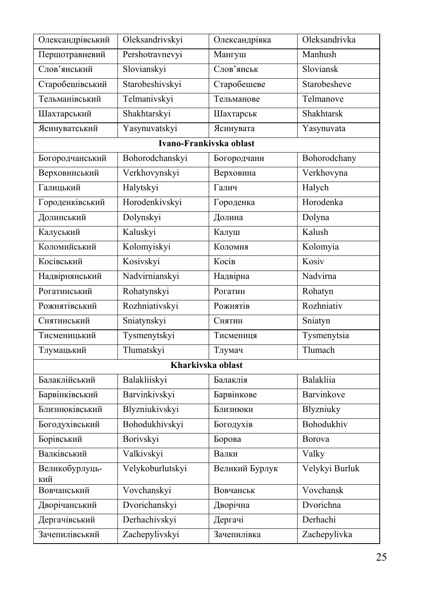| Олександрівський      | Oleksandrivskyi         | Олександрівка  | Oleksandrivka  |
|-----------------------|-------------------------|----------------|----------------|
| Першотравневий        | Pershotravnevyi         | Мангуш         | Manhush        |
| Слов'янський          | Slovianskyi             | Слов'янськ     | Sloviansk      |
| Старобешівський       | Starobeshivskyi         | Старобешеве    | Starobesheve   |
| Тельманівський        | Telmanivskyi            | Тельманове     | Telmanove      |
| Шахтарський           | Shakhtarskyi            | Шахтарськ      | Shakhtarsk     |
| Ясинуватський         | Yasynuvatskyi           | Ясинувата      | Yasynuvata     |
|                       | Ivano-Frankivska oblast |                |                |
| Богородчанський       | Bohorodchanskyi         | Богородчани    | Bohorodchany   |
| Верховинський         | Verkhovynskyi           | Верховина      | Verkhovyna     |
| Галицький             | Halytskyi               | Галич          | Halych         |
| Городенківський       | Horodenkivskyi          | Городенка      | Horodenka      |
| Долинський            | Dolynskyi               | Долина         | Dolyna         |
| Калуський             | Kaluskyi                | Калуш          | Kalush         |
| Коломийський          | Kolomyiskyi             | Коломия        | Kolomyia       |
| Косівський            | Kosivskyi               | Косів          | Kosiv          |
| Надвірнянський        | Nadvirnianskyi          | Надвірна       | Nadvirna       |
| Рогатинський          | Rohatynskyi             | Рогатин        | Rohatyn        |
| Рожнятівський         | Rozhniativskyi          | Рожнятів       | Rozhniativ     |
| Снятинський           | Sniatynskyi             | Снятин         | Sniatyn        |
| Тисменицький          | Tysmenytskyi            | Тисмениця      | Tysmenytsia    |
| Тлумацький            | Tlumatskyi              | Тлумач         | Tlumach        |
|                       | Kharkivska oblast       |                |                |
| Балаклійський         | Balakliiskyi            | Балаклія       | Balakliia      |
| Барвінківський        | Barvinkivskyi           | Барвінкове     | Barvinkove     |
| Близнюківський        | Blyzniukivskyi          | Близнюки       | Blyzniuky      |
| Богодухівський        | Bohodukhivskyi          | Богодухів      | Bohodukhiv     |
| Борівський            | Borivskvi               | Борова         | Borova         |
| Валківський           | Valkivskyi              | Валки          | Valky          |
| Великобурлуць-<br>кий | Velykoburlutskyi        | Великий Бурлук | Velykyi Burluk |
| Вовчанський           | Vovchanskyi             | Вовчанськ      | Vovchansk      |
| Дворічанський         | Dvorichanskyi           | Дворічна       | Dvorichna      |
| Дергачівський         | Derhachivskyi           | Дергачі        | Derhachi       |
| Зачепилівський        | Zachepylivskyi          | Зачепилівка    | Zachepylivka   |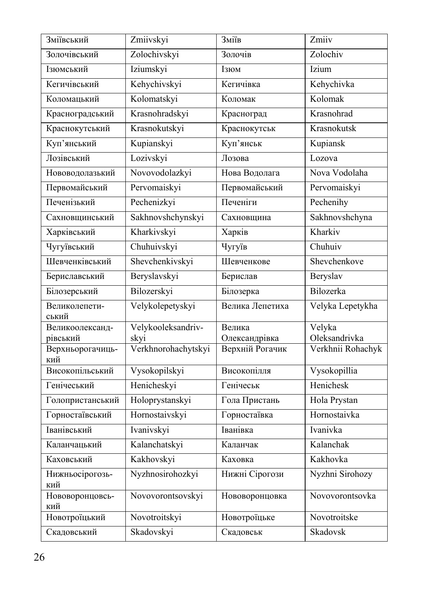| Зміївський                   | Zmiivskyi                   | Зміїв                            | Zmiiv                              |
|------------------------------|-----------------------------|----------------------------------|------------------------------------|
| Золочівський                 | Zolochivskyi                | Золочів                          | Zolochiv                           |
| Ізюмський                    | Iziumskyi                   | Ізюм                             | Izium                              |
| Кегичівський                 | Kehychivskyi                | Кегичівка                        | Kehychivka                         |
| Коломацький                  | Kolomatskyi                 | Коломак                          | Kolomak                            |
| Красноградський              | Krasnohradskyi              | Красноград                       | Krasnohrad                         |
| Краснокутський               | Krasnokutskyi               | Краснокутськ                     | Krasnokutsk                        |
| Куп'янський                  | Kupianskyi                  | Куп'янськ                        | Kupiansk                           |
| Лозівський                   | Lozivskyi                   | Лозова                           | Lozova                             |
| Нововодолазький              | Novovodolazkyi              | Нова Водолага                    | Nova Vodolaha                      |
| Первомайський                | Pervomaiskyi                | Первомайський                    | Pervomaiskyi                       |
| Печенізький                  | Pechenizkyi                 | Печеніги                         | Pechenihy                          |
| Сахновщинський               | Sakhnovshchynskyi           | Сахновщина                       | Sakhnovshchyna                     |
| Харківський                  | Kharkivskyi                 | Харків                           | Kharkiv                            |
| Чугуївський                  | Chuhuivskyi                 | Чугуїв                           | Chuhuiv                            |
| Шевченківський               | Shevchenkivskyi             | Шевченкове                       | Shevchenkove                       |
| Бериславський                | Beryslavskyi                | Берислав                         | Beryslav                           |
| Білозерський                 | Bilozerskyi                 | Білозерка                        | Bilozerka                          |
| Великолепети-<br>ський       | Velykolepetyskyi            | Велика Лепетиха                  | Velyka Lepetykha                   |
| Великоолександ-              | Velykooleksandriv-          | Велика                           | Velyka                             |
| рівський<br>Верхньорогачиць- | skyi<br>Verkhnorohachytskyi | Олександрівка<br>Верхній Рогачик | Oleksandrivka<br>Verkhnii Rohachyk |
| кий                          |                             |                                  |                                    |
| Високопільський              | Vysokopilskyi               | Високопілля                      | Vysokopillia                       |
| Генічеський                  | Henicheskyi                 | <b>Генічеськ</b>                 | Henichesk                          |
| Голопристанський             | Holoprystanskyi             | Гола Пристань                    | Hola Prystan                       |
| Горностаївський              | Hornostaivskyi              | Горностаївка                     | Hornostaivka                       |
| Іванівський                  | Ivanivskyi                  | Іванівка                         | Ivanivka                           |
| Каланчацький                 | Kalanchatskyi               | Каланчак                         | Kalanchak                          |
| Каховський                   | Kakhovskyi                  | Каховка                          | Kakhovka                           |
| Нижньосірогозь-<br>кий       | Nyzhnosirohozkyi            | Нижні Сірогози                   | Nyzhni Sirohozy                    |
| Нововоронцовсь-<br>кий       | Novovorontsovskyi           | Нововоронцовка                   | Novovorontsovka                    |
| Новотроїцький                | Novotroitskyi               | Новотроїцьке                     | Novotroitske                       |
| Скадовський                  | Skadovskyi                  | Скадовськ                        | Skadovsk                           |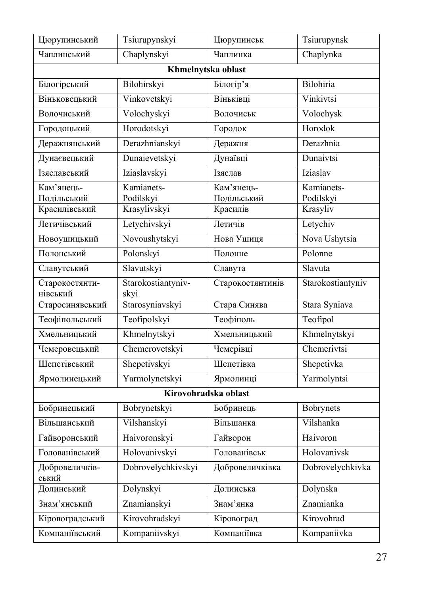| Цюрупинський                 | Tsiurupynskyi                   | Цюрупинськ              | Tsiurupynsk           |
|------------------------------|---------------------------------|-------------------------|-----------------------|
| Чаплинський                  | Chaplynskyi                     | $\overline{q}$ аплинка  | Chaplynka             |
|                              |                                 | Khmelnytska oblast      |                       |
| Білогірський                 | Bilohirskyi                     | Білогір'я               | Bilohiria             |
| Віньковецький                | Vinkovetskyi                    | Віньківці               | Vinkivtsi             |
| Волочиський                  | Volochyskyi                     | Волочиськ               | Volochysk             |
| Городоцький                  | Horodotskyi                     | Городок                 | Horodok               |
| Деражнянський                | Derazhnianskyi                  | Деражня                 | Derazhnia             |
| Дунаєвецький                 | Dunaievetskyi                   | Дунаївці                | Dunaivtsi             |
| Ізяславський                 | Iziaslavskyi                    | Ізяслав                 | Iziaslav              |
| Кам'янець-                   | $\overline{\text{K}}$ amianets- | Кам'янець-              | Kamianets-            |
| Подільський<br>Красилівський | Podilskyi<br>Krasylivskyi       | Подільський<br>Красилів | Podilskyi<br>Krasyliv |
|                              |                                 |                         |                       |
| Летичівський                 | Letychivskyi                    | Летичів                 | Letychiv              |
| Новоушицький                 | Novoushytskyi                   | Нова Ушиця              | Nova Ushytsia         |
| Полонський                   | Polonskyi                       | Полонне                 | Polonne               |
| Славутський                  | Slavutskyi                      | Славута                 | Slavuta               |
| Старокостянти-<br>нівський   | Starokostiantyniv-<br>skyi      | Старокостянтинів        | Starokostiantyniv     |
| Старосинявський              | Starosyniavskyi                 | Стара Синява            | Stara Syniava         |
| Теофіпольський               | Teofipolskyi                    | Теофіполь               | Teofipol              |
| Хмельницький                 | Khmelnytskyi                    | Хмельницький            | Khmelnytskyi          |
| Чемеровецький                | Chemerovetskyi                  | Чемерівці               | Chemerivtsi           |
| Шепетівський                 | Shepetivskyi                    | Шепетівка               | Shepetivka            |
| Ярмолинецький                | Yarmolynetskyi                  | Ярмолинці               | Yarmolyntsi           |
|                              |                                 | Kirovohradska oblast    |                       |
| Бобринецький                 | Bobrynetskyi                    | Бобринець               | Bobrynets             |
| Вільшанський                 | Vilshanskyi                     | Вільшанка               | Vilshanka             |
| Гайворонський                | Haivoronskyi                    | Гайворон                | Haivoron              |
| Голованівський               | Holovanivskyi                   | Голованівськ            | Holovanivsk           |
| Добровеличків-<br>ський      | Dobrovelychkivskyi              | Добровеличківка         | Dobrovelychkivka      |
| Долинський                   | Dolynskyi                       | Долинська               | Dolynska              |
| Знам'янський                 | Znamianskyi                     | Знам'янка               | Znamianka             |
| Кіровоградський              | Kirovohradskyi                  | Кіровоград              | Kirovohrad            |
| Компаніївський               | Kompaniivskyi                   | Компаніївка             | Kompaniivka           |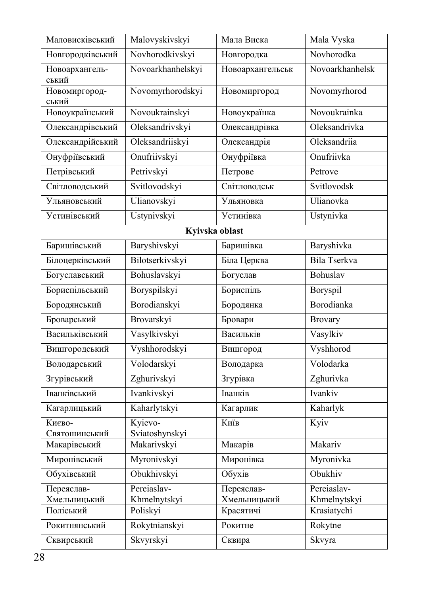| Маловисківський         | Malovyskivskyi            | Мала Виска       | Mala Vyska      |
|-------------------------|---------------------------|------------------|-----------------|
| Новгородківський        | Novhorodkivskyi           | Новгородка       | Novhorodka      |
| Новоархангель-<br>ський | Novoarkhanhelskyi         | Новоархангельськ | Novoarkhanhelsk |
| Новомиргород-<br>ський  | Novomyrhorodskyi          | Новомиргород     | Novomyrhorod    |
| Новоукраїнський         | Novoukrainskyi            | Новоукраїнка     | Novoukrainka    |
| Олександрівський        | Oleksandrivskyi           | Олександрівка    | Oleksandrivka   |
| Олександрійський        | Oleksandriiskyi           | Олександрія      | Oleksandriia    |
| Онуфріївський           | Onufriivskyi              | Онуфріївка       | Onufriivka      |
| Петрівський             | Petrivskyi                | Петрове          | Petrove         |
| Світловодський          | Svitlovodskyi             | Світловодськ     | Svitlovodsk     |
| Ульяновський            | Ulianovskyi               | Ульяновка        | Ulianovka       |
| Устинівський            | Ustynivskyi               | Устинівка        | Ustynivka       |
|                         |                           | Kyivska oblast   |                 |
| Баришівський            | Baryshivskyi              | Баришівка        | Baryshivka      |
| Білоцерківський         | Bilotserkivskyi           | Біла Церква      | Bila Tserkva    |
| Богуславський           | Bohuslavskyi              | Богуслав         | Bohuslav        |
| Бориспільський          | Boryspilskyi              | Бориспіль        | Boryspil        |
| Бородянський            | Borodianskyi              | Бородянка        | Borodianka      |
| Броварський             | Brovarskyi                | Бровари          | <b>Brovary</b>  |
| Васильківський          | Vasylkivskyi              | Васильків        | Vasylkiv        |
| Вишгородський           | Vyshhorodskyi             | Вишгород         | Vyshhorod       |
| Володарський            | Volodarskyi               | Володарка        | Volodarka       |
| Згурівський             | Zghurivskyi               | Згурівка         | Zghurivka       |
| Іванківський            | Ivankivskyi               | Іванків          | Ivankiv         |
| Кагарлицький            | Kaharlytskyi              | Кагарлик         | Kaharlyk        |
| Києво-<br>Святошинський | Kyievo-<br>Sviatoshynskyi | Київ             | Kyiv            |
| Макарівський            | Makarivskyi               | Макарів          | Makariv         |
| Миронівський            | Myronivskyi               | Миронівка        | Myronivka       |
| Обухівський             | Obukhivskyi               | Обухів           | Obukhiv         |
| Переяслав-              | Pereiaslav-               | Переяслав-       | Pereiaslav-     |
| Хмельницький            | Khmelnytskyi              | Хмельницький     | Khmelnytskyi    |
| Поліський               | Poliskyi                  | Красятичі        | Krasiatychi     |
| Рокитнянський           | Rokytnianskyi             | Рокитне          | Rokytne         |
| Сквирський              | Skvyrskyi                 | Сквира           | Skvyra          |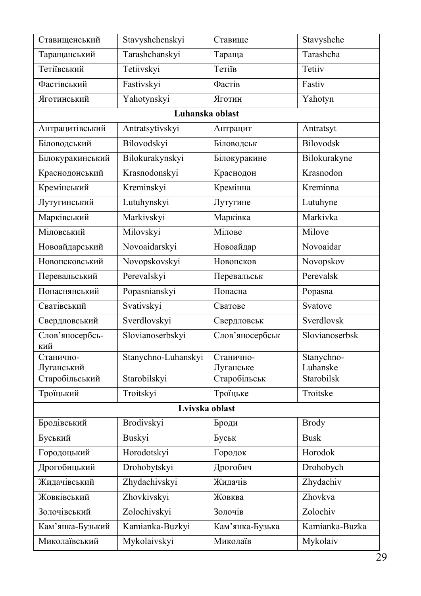| Ставищенський                | Stavyshchenskyi     | Ставище                   | Stavyshche                   |
|------------------------------|---------------------|---------------------------|------------------------------|
| Таращанський                 | Tarashchanskyi      | Тараща                    | Tarashcha                    |
| Тетіївський                  | Tetiivskyi          | Тетіїв                    | Tetiiv                       |
| Фастівський                  | Fastivskyi          | Фастів                    | Fastiv                       |
| Яготинський                  | Yahotynskyi         | Яготин                    | Yahotyn                      |
|                              | Luhanska oblast     |                           |                              |
| Антрацитівський              | Antratsytivskyi     | Антрацит                  | Antratsyt                    |
| Біловодський                 | Bilovodskyi         | Біловодськ                | Bilovodsk                    |
| Білокуракинський             | Bilokurakynskyi     | Білокуракине              | Bilokurakyne                 |
| Краснодонський               | Krasnodonskyi       | Краснодон                 | Krasnodon                    |
| Кремінський                  | Kreminskyi          | Кремінна                  | $\overline{\text{Kreminna}}$ |
| Лутугинський                 | Lutuhynskyi         | Лутугине                  | Lutuhyne                     |
| Марківський                  | Markivskyi          | Марківка                  | Markivka                     |
| Міловський                   | Milovskyi           | Мілове                    | Milove                       |
| Новоайдарський               | Novoaidarskyi       | Новоайдар                 | Novoaidar                    |
| Новопсковський               | Novopskovskyi       | Новопсков                 | Novopskov                    |
| Перевальський                | Perevalskyi         | Перевальськ               | Perevalsk                    |
| Попаснянський                | Popasnianskyi       | Попасна                   | Popasna                      |
| Сватівський                  | Svativskyi          | Сватове                   | Svatove                      |
| Свердловський                | Sverdlovskyi        | Свердловськ               | Sverdlovsk                   |
| Слов'яносербсь-<br>кий       | Slovianoserbskyi    | Слов'яносербськ           | Slovianoserbsk               |
| Станично-                    | Stanychno-Luhanskyi | Станично-                 | Stanychno-                   |
| Луганський<br>Старобільський | Starobilskyi        | Луганське<br>Старобільськ | Luhanske<br>Starobilsk       |
| Троїцький                    | Troitskyi           | Троїцьке                  | Troitske                     |
|                              | Lvivska oblast      |                           |                              |
| Бродівський                  | Brodivskyi          | Броди                     | <b>Brody</b>                 |
| Буський                      | Buskyi              | Буськ                     | <b>Busk</b>                  |
| Городоцький                  | Horodotskyi         | Городок                   | Horodok                      |
| Дрогобицький                 | Drohobytskyi        | Дрогобич                  | Drohobych                    |
| Жидачівський                 | Zhydachivskyi       | Жидачів                   | Zhydachiv                    |
| Жовківський                  | Zhovkivskyi         | Жовква                    | Zhovkva                      |
| Золочівський                 | Zolochivskyi        | Золочів                   | Zolochiv                     |
| Кам'янка-Бузький             | Kamianka-Buzkyi     | Кам'янка-Бузька           | Kamianka-Buzka               |
| Миколаївський                | Mykolaivskyi        | Миколаїв                  | Mykolaiv                     |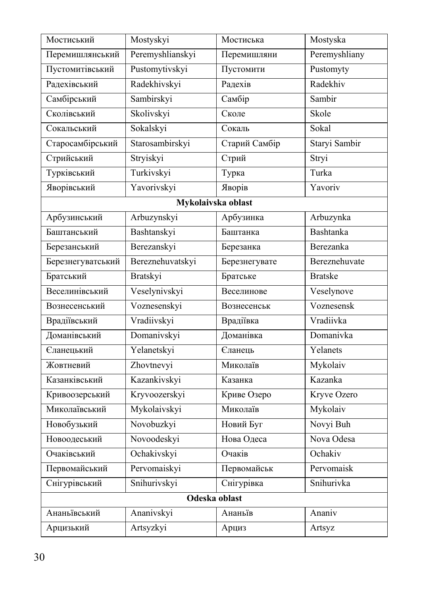| Мостиський        | Mostyskyi          | Мостиська     | Mostyska         |
|-------------------|--------------------|---------------|------------------|
| Перемишлянський   | Peremyshlianskyi   | Перемишляни   | Peremyshliany    |
| Пустомитівський   | Pustomytivskyi     | Пустомити     | Pustomyty        |
| Радехівський      | Radekhivskyi       | Радехів       | Radekhiv         |
| Самбірський       | Sambirskyi         | Самбір        | Sambir           |
| Сколівський       | Skolivskyi         | Сколе         | Skole            |
| Сокальський       | Sokalskyi          | Сокаль        | Sokal            |
| Старосамбірський  | Starosambirskyi    | Старий Самбір | Staryi Sambir    |
| Стрийський        | Stryiskyi          | Стрий         | Stryi            |
| Турківський       | Turkivskyi         | Турка         | Turka            |
| Яворівський       | Yavorivskyi        | Яворів        | Yavoriv          |
|                   | Mykolaivska oblast |               |                  |
| Арбузинський      | Arbuzynskyi        | Арбузинка     | Arbuzynka        |
| Баштанський       | Bashtanskyi        | Баштанка      | <b>Bashtanka</b> |
| Березанський      | Berezanskyi        | Березанка     | Berezanka        |
| Березнегуватський | Bereznehuvatskyi   | Березнегувате | Bereznehuvate    |
| Братський         | Bratskyi           | Братське      | <b>Bratske</b>   |
| Веселинівський    | Veselynivskyi      | Веселинове    | Veselynove       |
| Вознесенський     | Voznesenskyi       | Вознесенськ   | Voznesensk       |
| Врадіївський      | Vradiivskyi        | Врадіївка     | Vradiivka        |
| Доманівський      | Domanivskyi        | Доманівка     | Domanivka        |
| Єланецький        | Yelanetskyi        | Єланець       | Yelanets         |
| Жовтневий         | Zhovtnevyi         | Миколаїв      | Mykolaiv         |
| Казанківський     | Kazankivskyi       | Казанка       | Kazanka          |
| Кривоозерський    | Kryvoozerskyi      | Криве Озеро   | Kryve Ozero      |
| Миколаївський     | Mykolaivskyi       | Миколаїв      | Mykolaiv         |
| Новобузький       | Novobuzkyi         | Новий Буг     | Novyi Buh        |
| Новоодеський      | Novoodeskyi        | Нова Одеса    | Nova Odesa       |
| Очаківський       | Ochakivskyi        | Очаків        | Ochakiv          |
| Первомайський     | Pervomaiskyi       | Первомайськ   | Pervomaisk       |
| Снігурівський     | Snihurivskyi       | Снігурівка    | Snihurivka       |
|                   | Odeska oblast      |               |                  |
| Ананьївський      | Ananivskyi         | Ананьїв       | Ananiv           |
| Арцизький         | Artsyzkyi          | Арциз         | Artsyz           |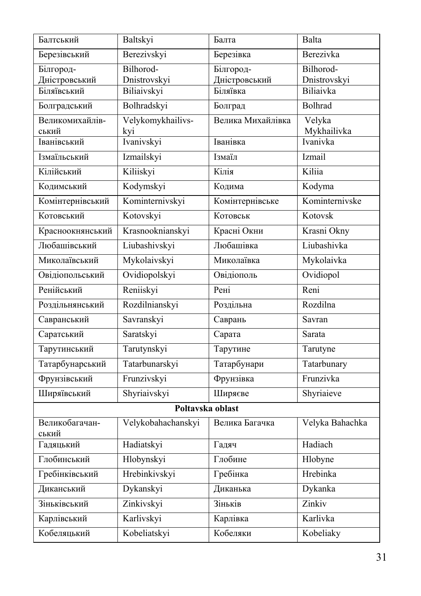| Балтський               | <b>Baltskyi</b>    | Балта             | Balta                   |
|-------------------------|--------------------|-------------------|-------------------------|
| Березівський            | Berezivskyi        | Березівка         | Berezivka               |
| Білгород-               | Bilhorod-          | Білгород-         | Bilhorod-               |
| Дністровський           | Dnistrovskyi       | Дністровський     | Dnistrovskyi            |
| Біляївський             | Biliaivskyi        | Біляївка          | Biliaivka               |
| Болградський            | Bolhradskyi        | Болград           | Bolhrad                 |
| Великомихайлів-         | Velykomykhailivs-  | Велика Михайлівка | Velyka                  |
| ський<br>Іванівський    | kyi<br>Ivanivskyi  | Іванівка          | Mykhailivka<br>Ivanivka |
|                         |                    |                   |                         |
| Ізмаїльський            | Izmailskyi         | Ізмаїл            | Izmail                  |
| Кілійський              | Kiliiskyi          | Кілія             | Kiliia                  |
| Кодимський              | Kodymskyi          | Кодима            | Kodyma                  |
| Комінтернівський        | Kominternivskyi    | Комінтернівське   | Kominternivske          |
| Котовський              | Kotovskyi          | Котовськ          | Kotovsk                 |
| Красноокнянський        | Krasnooknianskyi   | Красні Окни       | Krasni Okny             |
| Любашівський            | Liubashivskyi      | Любашівка         | Liubashivka             |
| Миколаївський           | Mykolaivskyi       | Миколаївка        | Mykolaivka              |
| Овідіопольський         | Ovidiopolskyi      | Овідіополь        | Ovidiopol               |
| Ренійський              | Reniiskyi          | Рені              | Reni                    |
| Роздільнянський         | Rozdilnianskyi     | Роздільна         | Rozdilna                |
| Савранський             | Savranskyi         | Саврань           | Savran                  |
| Саратський              | Saratskyi          | Сарата            | Sarata                  |
| Тарутинський            | Tarutynskyi        | Тарутине          | Tarutyne                |
| Татарбунарський         | Tatarbunarskyi     | Татарбунари       | Tatarbunary             |
| Фрунзівський            | Frunzivskyi        | Фрунзівка         | Frunzivka               |
| Ширяївський             | Shyriaivskyi       | Ширяєве           | Shyriaieve              |
|                         | Poltavska oblast   |                   |                         |
| Великобагачан-<br>ський | Velykobahachanskyi | Велика Багачка    | Velyka Bahachka         |
| Гадяцький               | Hadiatskyi         | Гадяч             | Hadiach                 |
| Глобинський             | Hlobynskyi         | Глобине           | Hlobyne                 |
| Гребінківський          | Hrebinkivskyi      | Гребінка          | Hrebinka                |
| Диканський              | Dykanskyi          | Диканька          | Dykanka                 |
| Зіньківський            | Zinkivskyi         | Зіньків           | Zinkiv                  |
| Карлівський             | Karlivskyi         | Карлівка          | Karlivka                |
| Кобеляцький             | Kobeliatskyi       | Кобеляки          | Kobeliaky               |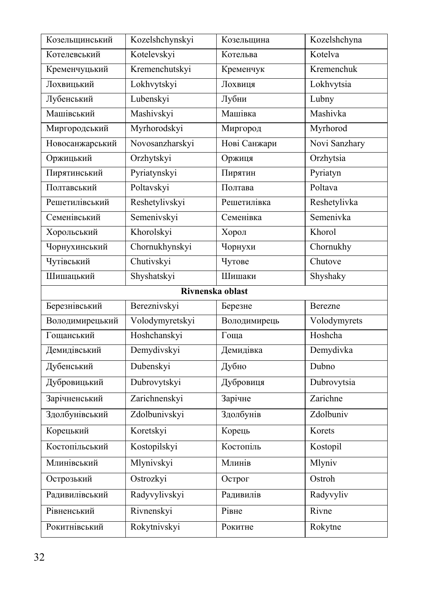| Козельщинський   | Kozelshchynskyi | Козельщина   | Kozelshchyna  |  |
|------------------|-----------------|--------------|---------------|--|
| Котелевський     | Kotelevskyi     | Котельва     | Kotelva       |  |
| Кременчуцький    | Kremenchutskyi  | Кременчук    | Kremenchuk    |  |
| Лохвицький       | Lokhvytskyi     | Лохвиця      | Lokhvytsia    |  |
| Лубенський       | Lubenskyi       | Лубни        | Lubny         |  |
| Машівський       | Mashivskyi      | Машівка      | Mashivka      |  |
| Миргородський    | Myrhorodskyi    | Миргород     | Myrhorod      |  |
| Новосанжарський  | Novosanzharskyi | Нові Санжари | Novi Sanzhary |  |
| Оржицький        | Orzhytskyi      | Оржиця       | Orzhytsia     |  |
| Пирятинський     | Pyriatynskyi    | Пирятин      | Pyriatyn      |  |
| Полтавський      | Poltavskyi      | Полтава      | Poltava       |  |
| Решетилівський   | Reshetylivskyi  | Решетилівка  | Reshetylivka  |  |
| Семенівський     | Semenivskyi     | Семенівка    | Semenivka     |  |
| Хорольський      | Khorolskyi      | Хорол        | Khorol        |  |
| Чорнухинський    | Chornukhynskyi  | Чорнухи      | Chornukhy     |  |
| Чутівський       | Chutivskyi      | Чутове       | Chutove       |  |
| Шишацький        | Shyshatskyi     | Шишаки       | Shyshaky      |  |
| Rivnenska oblast |                 |              |               |  |
|                  |                 |              |               |  |
| Березнівський    | Bereznivskyi    | Березне      | Berezne       |  |
| Володимирецький  | Volodymyretskyi | Володимирець | Volodymyrets  |  |
| Гощанський       | Hoshchanskyi    | Гоща         | Hoshcha       |  |
| Демидівський     | Demydivskyi     | Демидівка    | Demydivka     |  |
| Дубенський       | Dubenskyi       | Дубно        | Dubno         |  |
| Дубровицький     | Dubrovytskyi    | Дубровиця    | Dubrovytsia   |  |
| Зарічненський    | Zarichnenskyi   | Зарічне      | Zarichne      |  |
| Здолбунівський   | Zdolbunivskyi   | Здолбунів    | Zdolbuniv     |  |
| Корецький        | Koretskyi       | Корець       | Korets        |  |
| Костопільський   | Kostopilskyi    | Костопіль    | Kostopil      |  |
| Млинівський      | Mlynivskyi      | Млинів       | Mlyniv        |  |
| Острозький       | Ostrozkyi       | Острог       | Ostroh        |  |
| Радивилівський   | Radyvylivskyi   | Радивилів    | Radyvyliv     |  |
| Рівненський      | Rivnenskyi      | Рівне        | Rivne         |  |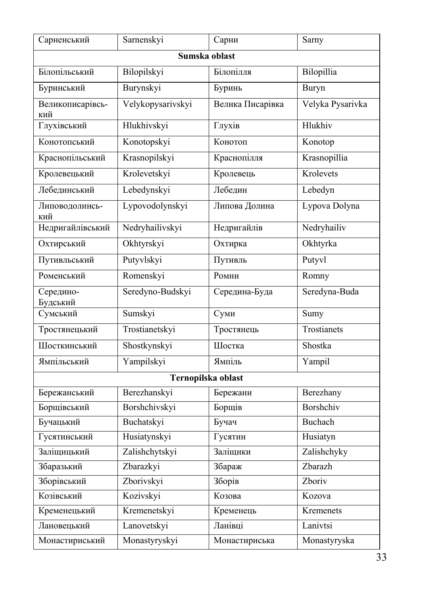| Сарненський             | Sarnenskyi         | Сарни            | Sarny            |  |  |  |  |
|-------------------------|--------------------|------------------|------------------|--|--|--|--|
|                         | Sumska oblast      |                  |                  |  |  |  |  |
| Білопільський           | Bilopilskyi        | Білопілля        | Bilopillia       |  |  |  |  |
| Буринський              | Burynskyi          | Буринь           | Buryn            |  |  |  |  |
| Великописарівсь-<br>кий | Velykopysarivskyi  | Велика Писарівка | Velyka Pysarivka |  |  |  |  |
| Глухівський             | Hlukhivskyi        | Глухів           | Hlukhiv          |  |  |  |  |
| Конотопський            | Konotopskyi        | Конотоп          | Konotop          |  |  |  |  |
| Краснопільський         | Krasnopilskyi      | Краснопілля      | Krasnopillia     |  |  |  |  |
| Кролевецький            | Krolevetskyi       | Кролевець        | Krolevets        |  |  |  |  |
| Лебединський            | Lebedynskyi        | Лебедин          | Lebedyn          |  |  |  |  |
| Липоводолинсь-<br>кий   | Lypovodolynskyi    | Липова Долина    | Lypova Dolyna    |  |  |  |  |
| Недригайлівський        | Nedryhailivskyi    | Недригайлів      | Nedryhailiv      |  |  |  |  |
| Охтирський              | Okhtyrskyi         | Охтирка          | Okhtyrka         |  |  |  |  |
| Путивльський            | Putyvlskyi         | Путивль          | Putyvl           |  |  |  |  |
| Роменський              | Romenskyi          | Ромни            | Romny            |  |  |  |  |
| Середино-<br>Будський   | Seredyno-Budskyi   | Середина-Буда    | Seredyna-Buda    |  |  |  |  |
| Сумський                | Sumskyi            | Суми             | Sumy             |  |  |  |  |
| Тростянецький           | Trostianetskyi     | Тростянець       | Trostianets      |  |  |  |  |
| Шосткинський            | Shostkynskyi       | Шостка           | Shostka          |  |  |  |  |
| Ямпільський             | Yampilskyi         | Ямпіль           | Yampil           |  |  |  |  |
|                         | Ternopilska oblast |                  |                  |  |  |  |  |
| Бережанський            | Berezhanskyi       | Бережани         | Berezhany        |  |  |  |  |
| Борщівський             | Borshchivskyi      | Борщів           | Borshchiv        |  |  |  |  |
| Бучацький               | Buchatskyi         | Бучач            | <b>Buchach</b>   |  |  |  |  |
| Гусятинський            | Husiatynskyi       | Гусятин          | Husiatyn         |  |  |  |  |
| Заліщицький             | Zalishchytskyi     | Заліщики         | Zalishchyky      |  |  |  |  |
| Збаразький              | Zbarazkyi          | Збараж           | Zbarazh          |  |  |  |  |
| Зборівський             | Zborivskyi         | Зборів           | Zboriv           |  |  |  |  |
| Козівський              | Kozivskyi          | Козова           | Kozova           |  |  |  |  |
| Кременецький            | Kremenetskyi       | Кременець        | Kremenets        |  |  |  |  |
| Лановецький             | Lanovetskyi        | Ланівці          | Lanivtsi         |  |  |  |  |
| Монастириський          | Monastyryskyi      | Монастириська    | Monastyryska     |  |  |  |  |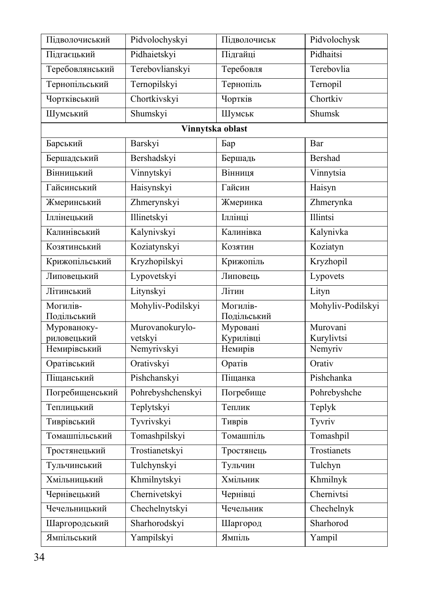| Підволочиський             | Pidvolochyskyi    | Підволочиськ          | Pidvolochysk      |
|----------------------------|-------------------|-----------------------|-------------------|
| Підгаєцький                | Pidhaietskyi      | Підгайці              | Pidhaitsi         |
| Теребовлянський            | Terebovlianskyi   | Теребовля             | Terebovlia        |
| Тернопільський             | Ternopilskyi      | Тернопіль             | Ternopil          |
| Чортківський               | Chortkivskyi      | Чортків               | Chortkiv          |
| Шумський                   | Shumskyi          | Шумськ                | Shumsk            |
|                            |                   | Vinnytska oblast      |                   |
| Барський                   | Barskyi           | Бар                   | Bar               |
| Бершадський                | Bershadskyi       | Бершадь               | <b>Bershad</b>    |
| Вінницький                 | Vinnytskyi        | Вінниця               | Vinnytsia         |
| Гайсинський                | Haisynskyi        | Гайсин                | Haisyn            |
| Жмеринський                | Zhmerynskyi       | Жмеринка              | Zhmerynka         |
| Іллінецький                | Illinetskyi       | Іллінці               | Illintsi          |
| Калинівський               | Kalynivskyi       | Калинівка             | Kalynivka         |
| Козятинський               | Koziatynskyi      | Козятин               | Koziatyn          |
| Крижопільський             | Kryzhopilskyi     | Крижопіль             | Kryzhopil         |
| Липовецький                | Lypovetskyi       | Липовець              | Lypovets          |
| Літинський                 | Litynskyi         | Літин                 | Lityn             |
| Могилів-                   | Mohyliv-Podilskyi | Могилів-              | Mohyliv-Podilskyi |
| Подільський                | Murovanokurylo-   | Подільський           | Murovani          |
| Мурованоку-<br>риловецький | vetskyi           | Муровані<br>Курилівці | Kurylivtsi        |
| Немирівський               | Nemyrivskyi       | Немирів               | Nemyriv           |
| Оратівський                | Orativskyi        | Оратів                | Orativ            |
| Піщанський                 | Pishchanskyi      | Піщанка               | Pishchanka        |
| Погребищенський            | Pohrebyshchenskyi | Погребище             | Pohrebyshche      |
| Теплицький                 | Teplytskyi        | Теплик                | Teplyk            |
| Тиврівський                | Tyvrivskyi        | Тиврів                | Tyvriv            |
| Томашпільський             | Tomashpilskyi     | Томашпіль             | Tomashpil         |
| Тростянецький              | Trostianetskyi    | Тростянець            | Trostianets       |
| Тульчинський               | Tulchynskyi       | Тульчин               | Tulchyn           |
| Хмільницький               | Khmilnytskyi      | Хмільник              | Khmilnyk          |
| Чернівецький               | Chernivetskyi     | Чернівці              | Chernivtsi        |
| Чечельницький              | Chechelnytskyi    | Чечельник             | Chechelnyk        |
| Шаргородський              | Sharhorodskyi     | Шаргород              | Sharhorod         |
| Ямпільський                | Yampilskyi        | Ямпіль                | Yampil            |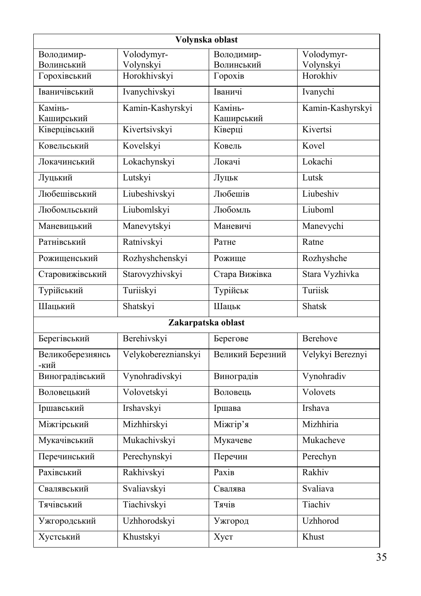| Volynska oblast            |                           |                       |                       |
|----------------------------|---------------------------|-----------------------|-----------------------|
| Володимир-                 | Volodymyr-                | Володимир-            | Volodymyr-            |
| Волинський<br>Горохівський | Volynskyi<br>Horokhivskyi | Волинський<br>Горохів | Volynskyi<br>Horokhiv |
|                            |                           |                       |                       |
| Іваничівський              | Ivanychivskyi             | Іваничі               | Ivanychi              |
| Камінь-<br>Каширський      | Kamin-Kashyrskyi          | Камінь-<br>Каширський | Kamin-Kashyrskyi      |
| Ківерцівський              | Kivertsivskyi             | Ківерці               | Kivertsi              |
| Ковельський                | Kovelskyi                 | Ковель                | Kovel                 |
| Локачинський               | Lokachynskyi              | Локачі                | Lokachi               |
| Луцький                    | Lutskyi                   | Луцьк                 | Lutsk                 |
| Любешівський               | Liubeshivskyi             | Любешів               | Liubeshiv             |
| Любомльський               | Liubomlskyi               | Любомль               | Liuboml               |
| Маневицький                | Manevytskyi               | Маневичі              | Manevychi             |
| Ратнівський                | Ratnivskyi                | Ратне                 | Ratne                 |
| Рожищенський               | Rozhyshchenskyi           | Рожище                | Rozhyshche            |
| Старовижівський            | Starovyzhivskyi           | Стара Вижівка         | Stara Vyzhivka        |
| Турійський                 | Turiiskyi                 | Турійськ              | Turiisk               |
| Шацький                    | Shatskyi                  | Шацьк                 | <b>Shatsk</b>         |
|                            | Zakarpatska oblast        |                       |                       |
| Берегівський               | Berehivskyi               | Берегове              | Berehove              |
| Великоберезнянсь<br>-кий   | Velykobereznianskyi       | Великий Березний      | Velykyi Bereznyi      |
| Виноградівський            | Vynohradivskyi            | Виноградів            | Vynohradiv            |
| Воловецький                | Volovetskyi               | Воловець              | Volovets              |
| Іршавський                 | Irshavskyi                | Іршава                | Irshava               |
| Міжгірський                | Mizhhirskyi               | Міжгір'я              | Mizhhiria             |
| Мукачівський               | Mukachivskyi              | Мукачеве              | Mukacheve             |
| Перечинський               | Perechynskyi              | Перечин               | Perechyn              |
| Рахівський                 | Rakhivskyi                | Paxib                 | Rakhiv                |
| Свалявський                | Svaliavskyi               | Свалява               | Svaliava              |
| Тячівський                 | Tiachivskyi               | Тячів                 | Tiachiv               |
| Ужгородський               | Uzhhorodskyi              | Ужгород               | Uzhhorod              |
| Хустський                  | Khustskyi                 | Хуст                  | Khust                 |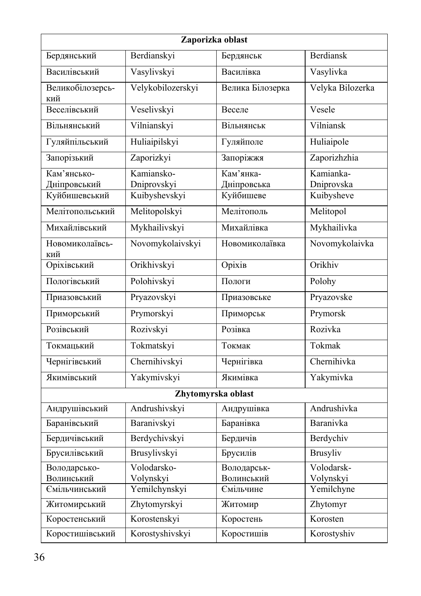| Zaporizka oblast                             |                                            |                                       |                                       |
|----------------------------------------------|--------------------------------------------|---------------------------------------|---------------------------------------|
| Бердянський                                  | Berdianskyi                                | Бердянськ                             | <b>Berdiansk</b>                      |
| Василівський                                 | Vasylivskyi                                | Василівка                             | Vasylivka                             |
| Великобілозерсь-<br>кий                      | Velykobilozerskyi                          | Велика Білозерка                      | Velyka Bilozerka                      |
| Веселівський                                 | Veselivskyi                                | Веселе                                | Vesele                                |
| Вільнянський                                 | Vilnianskyi                                | Вільнянськ                            | Vilniansk                             |
| Гуляйпільський                               | Huliaipilskyi                              | Гуляйполе                             | Huliaipole                            |
| Запорізький                                  | Zaporizkyi                                 | Запоріжжя                             | Zaporizhzhia                          |
| Кам'янсько-<br>Дніпровський<br>Куйбишевський | Kamiansko-<br>Dniprovskyi<br>Kuibyshevskyi | Кам'янка-<br>Дніпровська<br>Куйбишеве | Kamianka-<br>Dniprovska<br>Kuibysheve |
| Мелітопольський                              | Melitopolskyi                              | Мелітополь                            | Melitopol                             |
| Михайлівський                                | Mykhailivskyi                              | Михайлівка                            | Mykhailivka                           |
| Новомиколаївсь-<br>кий                       | Novomykolaivskyi                           | Новомиколаївка                        | Novomykolaivka                        |
| Оріхівський                                  | Orikhivskyi                                | Оріхів                                | Orikhiv                               |
| Пологівський                                 | Polohivskyi                                | Пологи                                | Polohy                                |
| Приазовський                                 | Pryazovskyi                                | Приазовське                           | Pryazovske                            |
| Приморський                                  | Prymorskyi                                 | Приморськ                             | Prymorsk                              |
| Розівський                                   | Rozivskyi                                  | Розівка                               | Rozivka                               |
| Токмацький                                   | Tokmatskyi                                 | Токмак                                | Tokmak                                |
| Чернігівський                                | Chernihivskyi                              | Чернігівка                            | Chernihivka                           |
| Якимівський                                  | Yakymivskyi                                | Якимівка                              | Yakymivka                             |
| Zhytomyrska oblast                           |                                            |                                       |                                       |
| Андрушівський                                | Andrushivskyi                              | Андрушівка                            | Andrushivka                           |
| Баранівський                                 | Baranivskyi                                | Баранівка                             | Baranivka                             |
| Бердичівський                                | Berdychivskyi                              | Бердичів                              | Berdychiv                             |
| Брусилівський                                | Brusylivskyi                               | Брусилів                              | <b>Brusyliv</b>                       |
| Володарсько-<br>Волинський                   | Volodarsko-<br>Volynskyi                   | Володарськ-<br>Волинський             | Volodarsk-<br>Volynskyi               |
| Ємільчинський                                | Yemilchynskyi                              | Ємільчине                             | Yemilchyne                            |
| Житомирський                                 | Zhytomyrskyi                               | Житомир                               | Zhytomyr                              |
| Коростенський                                | Korostenskyi                               | Коростень                             | Korosten                              |
| Коростишівський                              | Korostyshivskyi                            | Коростишів                            | Korostyshiv                           |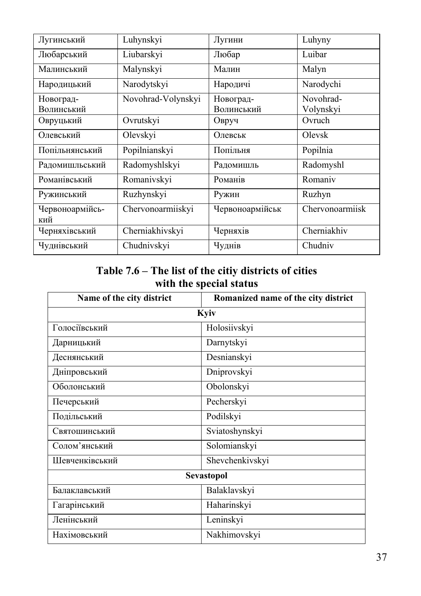| Лугинський              | Luhynskyi          | Лугини                  | Luhyny                 |
|-------------------------|--------------------|-------------------------|------------------------|
| Любарський              | Liubarskyi         | Любар                   | Luibar                 |
| Малинський              | Malynskyi          | Малин                   | Malyn                  |
| Народицький             | Narodytskyi        | Народичі                | Narodychi              |
| Новоград-<br>Волинський | Novohrad-Volynskyi | Новоград-<br>Волинський | Novohrad-<br>Volynskyi |
| Овруцький               | Ovrutskyi          | Овруч                   | Ovruch                 |
| Олевський               | Olevskyi           | Олевськ                 | Olevsk                 |
| Попільнянський          | Popilnianskyi      | Попільня                | Popilnia               |
| Радомишльський          | Radomyshlskyi      | Радомишль               | Radomyshl              |
| Романівський            | Romanivskyi        | Романів                 | Romaniv                |
| Ружинський              | Ruzhynskyi         | Ружин                   | Ruzhyn                 |
| Червоноармійсь-<br>кий  | Chervonoarmiiskyi  | Червоноармійськ         | Chervonoarmiisk        |
| Черняхівський           | Cherniakhivskyi    | Черняхів                | Cherniakhiv            |
| Чуднівський             | Chudnivskyi        | Чуднів                  | Chudniv                |

#### **Table 7.6 – The list of the citiy districts of cities with the special status**

| Name of the city district | Romanized name of the city district |  |
|---------------------------|-------------------------------------|--|
| Kyiv                      |                                     |  |
| Голосіївський             | Holosiivskyi                        |  |
| Дарницький                | Darnytskyi                          |  |
| Деснянський               | Desnianskyi                         |  |
| Дніпровський              | Dniprovskyi                         |  |
| Оболонський               | Obolonskyi                          |  |
| Печерський                | Pecherskyi                          |  |
| Подільський               | Podilskyi                           |  |
| Святошинський             | Sviatoshynskyi                      |  |
| Солом'янський             | Solomianskyi                        |  |
| Шевченківський            | Shevchenkivskyi                     |  |
|                           | Sevastopol                          |  |
| Балаклавський             | Balaklavskyi                        |  |
| Гагарінський              | Haharinskyi                         |  |
| Ленінський                | Leninskyi                           |  |
| Нахімовський              | Nakhimovskyi                        |  |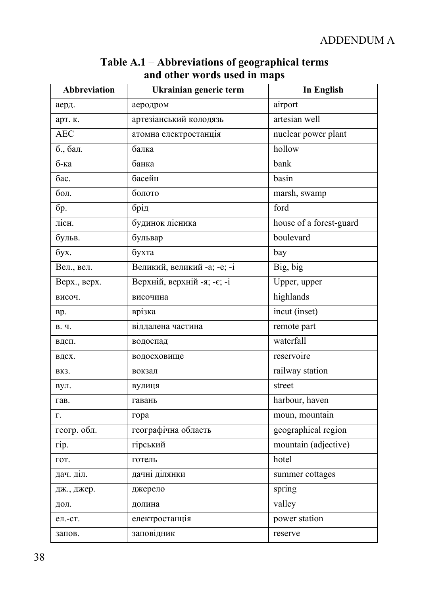| <b>Abbreviation</b> | Ukrainian generic term      | <b>In English</b>       |
|---------------------|-----------------------------|-------------------------|
| аерд.               | аеродром                    | airport                 |
| арт. к.             | артезіанський колодязь      | artesian well           |
| <b>AEC</b>          | атомна електростанція       | nuclear power plant     |
| б., бал.            | балка                       | hollow                  |
| б-ка                | банка                       | bank                    |
| бас.                | басейн                      | basin                   |
| бол.                | болото                      | marsh, swamp            |
| бp.                 | брід                        | ford                    |
| лісн.               | будинок лісника             | house of a forest-guard |
| бульв.              | бульвар                     | boulevard               |
| бух.                | бухта                       | bay                     |
| Вел., вел.          | Великий, великий -а; -е; -i | Big, big                |
| Верх., верх.        | Верхній, верхній -я; -є; -і | Upper, upper            |
| височ.              | височина                    | highlands               |
| вp.                 | врізка                      | incut (inset)           |
| В. Ч.               | віддалена частина           | remote part             |
| вдсп.               | водоспад                    | waterfall               |
| вдсх.               | водосховище                 | reservoire              |
| ВКЗ.                | вокзал                      | railway station         |
| вул.                | вулиця                      | street                  |
| гав.                | гавань                      | harbour, haven          |
| Г.                  | гора                        | moun, mountain          |
| геогр. обл.         | географічна область         | geographical region     |
| гiр.                | гірський                    | mountain (adjective)    |
| гот.                | готель                      | hotel                   |
| дач. діл.           | дачні ділянки               | summer cottages         |
| дж., джер.          | джерело                     | spring                  |
| дол.                | долина                      | valley                  |
| ел.-ст.             | електростанція              | power station           |
| запов.              | заповідник                  | reserve                 |

#### **Table A.1** – **Abbreviations of geographical terms and other words used in maps**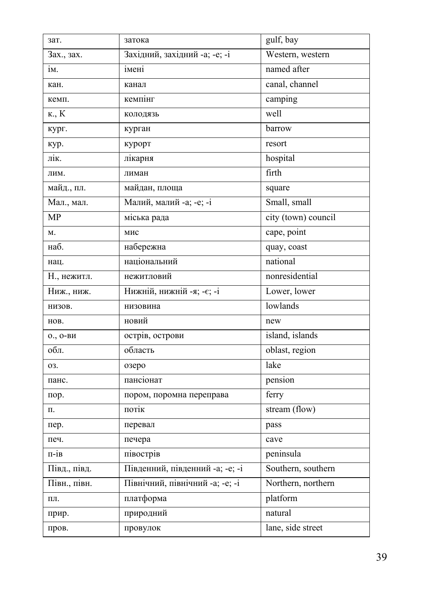| зат.         | затока                          | gulf, bay           |
|--------------|---------------------------------|---------------------|
| Зах., зах.   | Західний, західний -а; -е; -і   | Western, western    |
| IM.          | імені                           | named after         |
| кан.         | канал                           | canal, channel      |
| кемп.        | кемпінг                         | camping             |
| к., К        | колодязь                        | well                |
| кург.        | курган                          | barrow              |
| кур.         | курорт                          | resort              |
| лік.         | лікарня                         | hospital            |
| ЛИМ.         | лиман                           | firth               |
| майд., пл.   | майдан, площа                   | square              |
| Мал., мал.   | Малий, малий -а; -е; -і         | Small, small        |
| MP           | міська рада                     | city (town) council |
| Μ.           | мис                             | cape, point         |
| наб.         | набережна                       | quay, coast         |
| нац.         | національний                    | national            |
| Н., нежитл.  | нежитловий                      | nonresidential      |
| Ниж., ниж.   | Нижній, нижній -я; -є; -і       | Lower, lower        |
| НИЗОВ.       | низовина                        | lowlands            |
| HOB.         | новий                           | new                 |
| $0., 0-BM$   | острів, острови                 | island, islands     |
| обл.         | область                         | oblast, region      |
| 03.          | озеро                           | lake                |
| панс.        | пансіонат                       | pension             |
| пор.         | пором, поромна переправа        | ferry               |
| П.           | ПОТІК                           | stream (flow)       |
| пер.         | перевал                         | pass                |
| печ.         | печера                          | cave                |
| $\Pi$ -1B    | півострів                       | peninsula           |
| Півд., півд. | Південний, південний -а; -е; -і | Southern, southern  |
| Півн., півн. | Північний, північний -а; -е; -і | Northern, northern  |
| ΠЛ.          | платформа                       | platform            |
| прир.        | природний                       | natural             |
| пров.        | провулок                        | lane, side street   |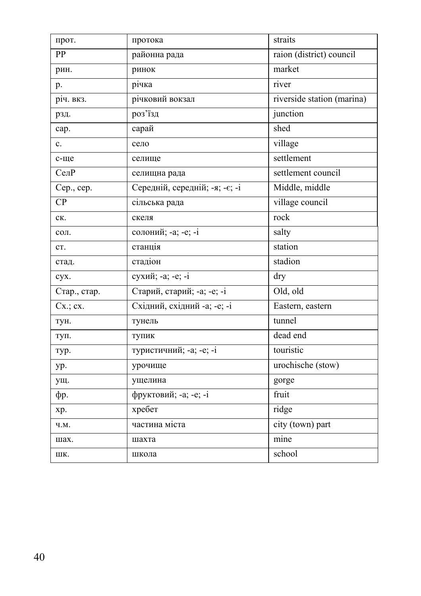| прот.         | протока                        | straits                    |
|---------------|--------------------------------|----------------------------|
| PP            | районна рада                   | raion (district) council   |
| рин.          | ринок                          | market                     |
| p.            | річка                          | river                      |
| річ. вкз.     | річковий вокзал                | riverside station (marina) |
| рзд.          | роз'їзд                        | junction                   |
| cap.          | сарай                          | shed                       |
| c.            | село                           | village                    |
| с-ще          | селище                         | settlement                 |
| СелР          | селищна рада                   | settlement council         |
| Cep., cep.    | Середній, середній; -я; -є; -і | Middle, middle             |
| CP            | сільська рада                  | village council            |
| CК.           | скеля                          | rock                       |
| сол.          | солоний; -а; -е; -і            | salty                      |
| CT.           | станція                        | station                    |
| стад.         | стадіон                        | stadion                    |
| cyx.          | сухий; -а; -е; -і              | dry                        |
| Стар., стар.  | Старий, старий; -а; -е; -і     | Old, old                   |
| $Cx$ ; $cx$ . | Східний, східний -а; -е; -і    | Eastern, eastern           |
| тун.          | тунель                         | tunnel                     |
| туп.          | тупик                          | dead end                   |
| тур.          | туристичний; -а; -е; -і        | touristic                  |
| yp.           | урочище                        | urochische (stow)          |
| ущ.           | ущелина                        | gorge                      |
| $\phi$ p.     | фруктовий; -а; -е; -і          | fruit                      |
| xp.           | хребет                         | ridge                      |
| Ч.М.          | частина міста                  | city (town) part           |
| шах.          | шахта                          | mine                       |
| ШК.           | школа                          | school                     |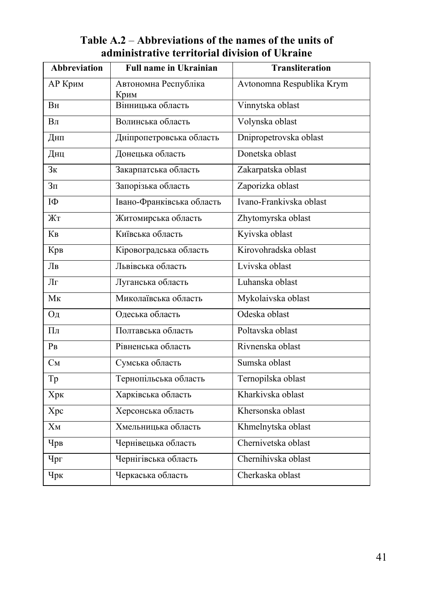| <b>Abbreviation</b> | <b>Full name in Ukrainian</b> | <b>Transliteration</b>    |
|---------------------|-------------------------------|---------------------------|
| АР Крим             | Автономна Республіка<br>Крим  | Avtonomna Respublika Krym |
| Bн                  | Вінницька область             | Vinnytska oblast          |
| B <sub>JI</sub>     | Волинська область             | Volynska oblast           |
| Днп                 | Дніпропетровська область      | Dnipropetrovska oblast    |
| Днц                 | Донецька область              | Donetska oblast           |
| 3 <sub>K</sub>      | Закарпатська область          | Zakarpatska oblast        |
| 3 <sub>π</sub>      | Запорізька область            | Zaporizka oblast          |
| IФ                  | Івано-Франківська область     | Ivano-Frankivska oblast   |
| Жт                  | Житомирська область           | Zhytomyrska oblast        |
| K <sub>B</sub>      | Київська область              | Kyivska oblast            |
| Крв                 | Кіровоградська область        | Kirovohradska oblast      |
| Лв                  | Львівська область             | Lvivska oblast            |
| Лг                  | Луганська область             | Luhanska oblast           |
| $M_{K}$             | Миколаївська область          | Mykolaivska oblast        |
| Од                  | Одеська область               | Odeska oblast             |
| $\Pi$ л             | Полтавська область            | Poltavska oblast          |
| P <sub>B</sub>      | Рівненська область            | Rivnenska oblast          |
| $C_M$               | Сумська область               | Sumska oblast             |
| Tp                  | Тернопільська область         | Ternopilska oblast        |
| Хрк                 | Харківська область            | Kharkivska oblast         |
| Xpc                 | Херсонська область            | Khersonska oblast         |
| $X_M$               | Хмельницька область           | Khmelnytska oblast        |
| Чрв                 | Чернівецька область           | Chernivetska oblast       |
| Чрг                 | Чернігівська область          | Chernihivska oblast       |
| Чрк                 | Черкаська область             | Cherkaska oblast          |

## **Table А.2** – **Abbreviations of the names of the units of administrative territorial division of Ukraine**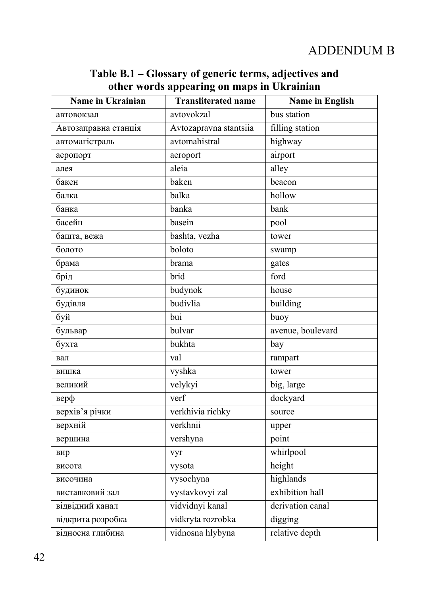# ADDENDUM B

# **Table B.1 – Glossary of generic terms, adjectives and other words appearing on maps in Ukrainian**

| Name in Ukrainian    | <b>Transliterated name</b> | <b>Name in English</b> |
|----------------------|----------------------------|------------------------|
| автовокзал           | avtovokzal                 | bus station            |
| Автозаправна станція | Avtozapravna stantsiia     | filling station        |
| автомагістраль       | avtomahistral              | highway                |
| аеропорт             | aeroport                   | airport                |
| алея                 | aleia                      | alley                  |
| бакен                | baken                      | beacon                 |
| балка                | balka                      | hollow                 |
| банка                | banka                      | bank                   |
| басейн               | basein                     | pool                   |
| башта, вежа          | bashta, vezha              | tower                  |
| болото               | boloto                     | swamp                  |
| брама                | brama                      | gates                  |
| брід                 | brid                       | ford                   |
| будинок              | budynok                    | house                  |
| будівля              | budivlia                   | building               |
| буй                  | bui                        | buoy                   |
| бульвар              | bulvar                     | avenue, boulevard      |
| бухта                | bukhta                     | bay                    |
| вал                  | val                        | rampart                |
| вишка                | vyshka                     | tower                  |
| великий              | velykyi                    | big, large             |
| верф                 | verf                       | dockyard               |
| верхів'я річки       | verkhivia richky           | source                 |
| верхній              | verkhnii                   | upper                  |
| вершина              | vershyna                   | point                  |
| вир                  | vyr                        | whirlpool              |
| висота               | vysota                     | height                 |
| височина             | vysochyna                  | highlands              |
| виставковий зал      | vystavkovyi zal            | exhibition hall        |
| відвідний канал      | vidvidnyi kanal            | derivation canal       |
| відкрита розробка    | vidkryta rozrobka          | digging                |
| відносна глибина     | vidnosna hlybyna           | relative depth         |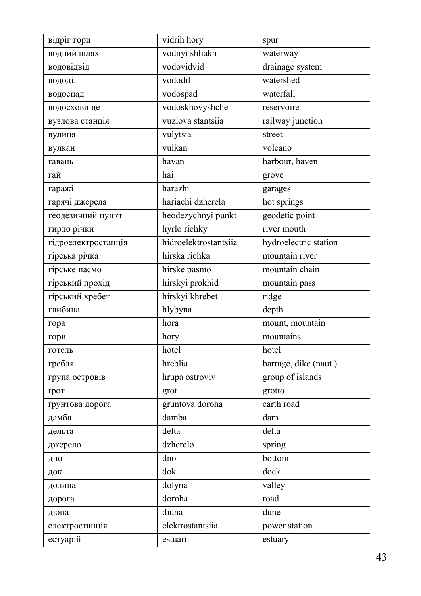| відріг гори         | vidrih hory           | spur                  |
|---------------------|-----------------------|-----------------------|
| водний шлях         | vodnyi shliakh        | waterway              |
| водовідвід          | vodovidvid            | drainage system       |
| вододіл             | vododil               | watershed             |
| водоспад            | vodospad              | waterfall             |
| водосховище         | vodoskhovyshche       | reservoire            |
| вузлова станція     | vuzlova stantsiia     | railway junction      |
| вулиця              | vulytsia              | street                |
| вулкан              | vulkan                | volcano               |
| гавань              | havan                 | harbour, haven        |
| гай                 | hai                   | grove                 |
| гаражі              | harazhi               | garages               |
| гарячі джерела      | hariachi dzherela     | hot springs           |
| геодезичний пункт   | heodezychnyi punkt    | geodetic point        |
| гирло річки         | hyrlo richky          | river mouth           |
| гідроелектростанція | hidroelektrostantsiia | hydroelectric station |
| гірська річка       | hirska richka         | mountain river        |
| гірське пасмо       | hirske pasmo          | mountain chain        |
| гірський прохід     | hirskyi prokhid       | mountain pass         |
| гірський хребет     | hirskyi khrebet       | ridge                 |
| глибина             | hlybyna               | depth                 |
| гора                | hora                  | mount, mountain       |
| гори                | hory                  | mountains             |
| готель              | hotel                 | hotel                 |
| гребля              | hreblia               | barrage, dike (naut.) |
| група островів      | hrupa ostroviv        | group of islands      |
| грот                | grot                  | grotto                |
| грунтова дорога     | gruntova doroha       | earth road            |
| дамба               | damba                 | dam                   |
| дельта              | delta                 | delta                 |
| джерело             | dzherelo              | spring                |
| дно                 | dno                   | bottom                |
| док                 | dok                   | dock                  |
| долина              | dolyna                | valley                |
| дорога              | doroha                | road                  |
| дюна                | diuna                 | dune                  |
| електростанція      | elektrostantsiia      | power station         |
| естуарій            | estuarii              | estuary               |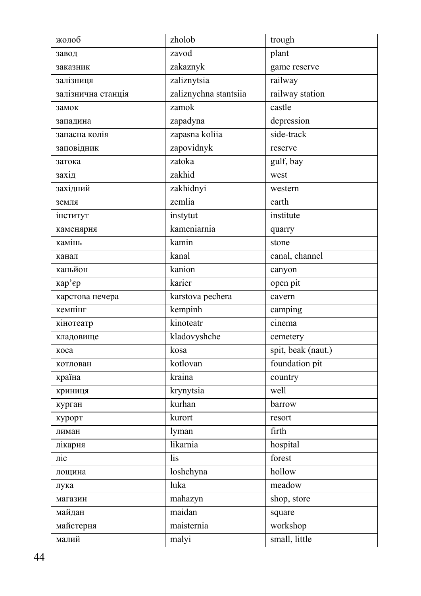| жолоб                   | zholob                | trough             |
|-------------------------|-----------------------|--------------------|
| завод                   | zavod                 | plant              |
| заказник                | zakaznyk              | game reserve       |
| залізниця               | zaliznytsia           | railway            |
| залізнична станція      | zaliznychna stantsiia | railway station    |
| замок                   | zamok                 | castle             |
| западина                | zapadyna              | depression         |
| запасна колія           | zapasna koliia        | side-track         |
| заповідник              | zapovidnyk            | reserve            |
| затока                  | zatoka                | gulf, bay          |
| захід                   | zakhid                | west               |
| західний                | zakhidnyi             | western            |
| земля                   | zemlia                | earth              |
| інститут                | instytut              | institute          |
| каменярня               | kameniarnia           | quarry             |
| камінь                  | kamin                 | stone              |
| канал                   | kanal                 | canal, channel     |
| каньйон                 | kanion                | canyon             |
| кар'єр                  | karier                | open pit           |
| карстова печера         | karstova pechera      | cavern             |
| кемпінг                 | kempinh               | camping            |
| кінотеатр               | kinoteatr             | cinema             |
| кладовище               | kladovyshche          | cemetery           |
| коса                    | kosa                  | spit, beak (naut.) |
| котлован                | kotlovan              | foundation pit     |
| країна                  | kraina                | country            |
| криниця                 | krynytsia             | well               |
| курган                  | kurhan                | barrow             |
| курорт                  | kurort                | resort             |
| лиман                   | lyman                 | firth              |
| лікарня                 | likarnia              | hospital           |
| $\overline{\text{inc}}$ | lis                   | forest             |
| лощина                  | loshchyna             | hollow             |
| лука                    | luka                  | meadow             |
| магазин                 | mahazyn               | shop, store        |
| майдан                  | maidan                | square             |
| майстерня               | maisternia            | workshop           |
| малий                   | malyi                 | small, little      |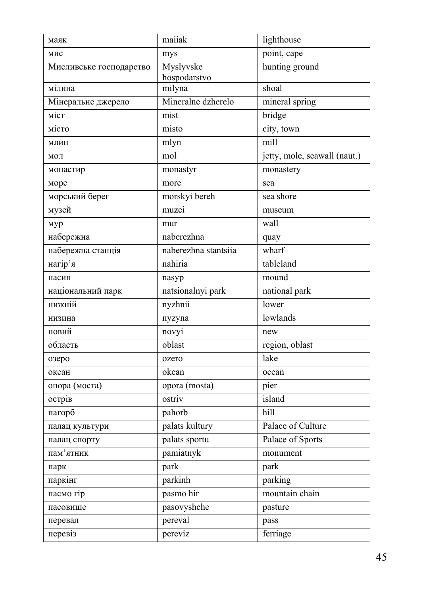| маяк                    | maiiak                    | lighthouse                   |
|-------------------------|---------------------------|------------------------------|
| мис                     | mys                       | point, cape                  |
| Мисливське господарство | Myslyvske<br>hospodarstvo | hunting ground               |
| мілина                  | milyna                    | shoal                        |
| Мінеральне джерело      | Mineralne dzherelo        | mineral spring               |
| міст                    | mist                      | bridge                       |
| місто                   | misto                     | city, town                   |
| МЛИН                    | mlyn                      | mill                         |
| мол                     | mol                       | jetty, mole, seawall (naut.) |
| монастир                | monastyr                  | monastery                    |
| море                    | more                      | sea                          |
| морський берег          | morskyi bereh             | sea shore                    |
| музей                   | muzei                     | museum                       |
| мур                     | mur                       | wall                         |
| набережна               | naberezhna                | quay                         |
| набережна станція       | naberezhna stantsiia      | wharf                        |
| нагір'я                 | nahiria                   | tableland                    |
| насип                   | nasyp                     | mound                        |
| національний парк       | natsionalnyi park         | national park                |
| нижній                  | nyzhnii                   | lower                        |
| низина                  | nyzyna                    | lowlands                     |
| новий                   | novyi                     | new                          |
| область                 | oblast                    | region, oblast               |
| озеро                   | ozero                     | lake                         |
| океан                   | okean                     | ocean                        |
| опора (моста)           | opora (mosta)             | pier                         |
| острів                  | ostriv                    | island                       |
| пагорб                  | pahorb                    | hill                         |
| палац культури          | palats kultury            | Palace of Culture            |
| палац спорту            | palats sportu             | Palace of Sports             |
| пам'ятник               | pamiatnyk                 | monument                     |
| парк                    | park                      | park                         |
| паркінг                 | parkinh                   | parking                      |
| пасмо гір               | pasmo hir                 | mountain chain               |
| пасовище                | pasovyshche               | pasture                      |
| перевал                 | pereval                   | pass                         |
| перевіз                 | pereviz                   | ferriage                     |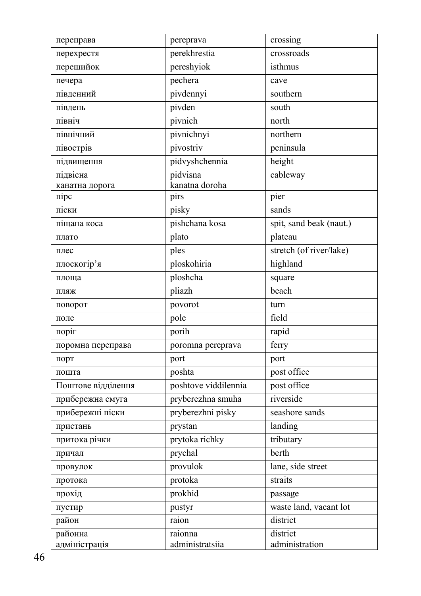| переправа          | pereprava            | crossing                |
|--------------------|----------------------|-------------------------|
| перехрестя         | perekhrestia         | crossroads              |
| перешийок          | pereshyiok           | isthmus                 |
| печера             | pechera              | cave                    |
| південний          | pivdennyi            | southern                |
| південь            | pivden               | south                   |
| північ             | pivnich              | north                   |
| північний          | pivnichnyi           | northern                |
| півострів          | pivostriv            | peninsula               |
| підвищення         | pidvyshchennia       | height                  |
| підвісна           | pidvisna             | cableway                |
| канатна дорога     | kanatna doroha       |                         |
| $\pi$ ipc          | pirs                 | pier                    |
| піски              | pisky                | sands                   |
| піщана коса        | pishchana kosa       | spit, sand beak (naut.) |
| плато              | plato                | plateau                 |
| плес               | ples                 | stretch (of river/lake) |
| плоскогір'я        | ploskohiria          | highland                |
| площа              | ploshcha             | square                  |
| ПЛЯЖ               | pliazh               | beach                   |
| поворот            | povorot              | turn                    |
| поле               | pole                 | field                   |
| поріг              | porih                | rapid                   |
| поромна переправа  | poromna pereprava    | ferry                   |
| порт               | port                 | port                    |
| пошта              | poshta               | post office             |
| Поштове відділення | poshtove viddilennia | post office             |
| прибережна смуга   | pryberezhna smuha    | riverside               |
| прибережні піски   | pryberezhni pisky    | seashore sands          |
| пристань           | prystan              | landing                 |
| притока річки      | prytoka richky       | tributary               |
| причал             | prychal              | berth                   |
| провулок           | provulok             | lane, side street       |
| протока            | protoka              | straits                 |
| прохід             | prokhid              | passage                 |
| пустир             | pustyr               | waste land, vacant lot  |
| район              | raion                | district                |
| районна            | raionna              | district                |
| адміністрація      | administratsiia      | administration          |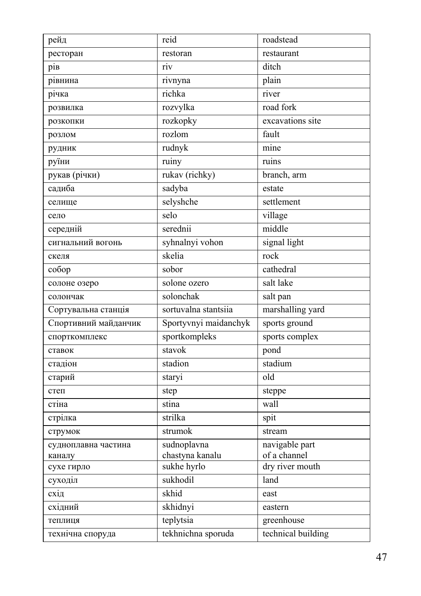| рейд                 | reid                  | roadstead          |
|----------------------|-----------------------|--------------------|
| ресторан             | restoran              | restaurant         |
| piв                  | riv                   | ditch              |
| рівнина              | rivnyna               | plain              |
| річка                | richka                | river              |
| розвилка             | rozvylka              | road fork          |
| розкопки             | rozkopky              | excavations site   |
| розлом               | rozlom                | fault              |
| рудник               | rudnyk                | mine               |
| руїни                | ruiny                 | ruins              |
| рукав (річки)        | rukav (richky)        | branch, arm        |
| садиба               | sadyba                | estate             |
| селище               | selyshche             | settlement         |
| село                 | selo                  | village            |
| середній             | serednii              | middle             |
| сигнальний вогонь    | syhnalnyi vohon       | signal light       |
| скеля                | skelia                | rock               |
| co6op                | sobor                 | cathedral          |
| солоне озеро         | solone ozero          | salt lake          |
| солончак             | solonchak             | salt pan           |
| Сортувальна станція  | sortuvalna stantsiia  | marshalling yard   |
| Спортивний майданчик | Sportyvnyi maidanchyk | sports ground      |
| спорткомплекс        | sportkompleks         | sports complex     |
| ставок               | stavok                | pond               |
| стадіон              | stadion               | stadium            |
| старий               | staryi                | old                |
| степ                 | step                  | steppe             |
| стіна                | stina                 | wall               |
| стрілка              | strilka               | spit               |
| струмок              | strumok               | stream             |
| судноплавна частина  | sudnoplavna           | navigable part     |
| каналу               | chastyna kanalu       | of a channel       |
| сухе гирло           | sukhe hyrlo           | dry river mouth    |
| суходіл              | sukhodil              | land               |
| схід                 | skhid                 | east               |
| східний              | skhidnyi              | eastern            |
| теплиця              | teplytsia             | greenhouse         |
| технічна споруда     | tekhnichna sporuda    | technical building |